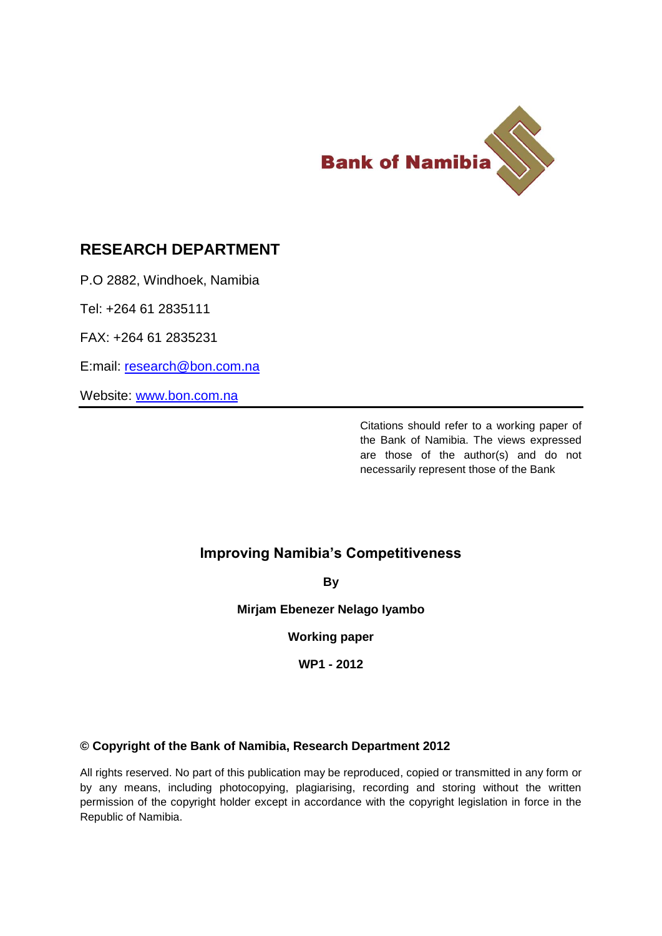

# **RESEARCH DEPARTMENT**

P.O 2882, Windhoek, Namibia

Tel: +264 61 2835111

FAX: +264 61 2835231

E:mail: [research@bon.com.na](mailto:research@bon.com.na)

Website: [www.bon.com.na](http://www.bon.com.na/)

Citations should refer to a working paper of the Bank of Namibia. The views expressed are those of the author(s) and do not necessarily represent those of the Bank

## **Improving Namibia's Competitiveness**

**By**

**Mirjam Ebenezer Nelago Iyambo**

**Working paper**

**WP1 - 2012**

### **© Copyright of the Bank of Namibia, Research Department 2012**

All rights reserved. No part of this publication may be reproduced, copied or transmitted in any form or by any means, including photocopying, plagiarising, recording and storing without the written permission of the copyright holder except in accordance with the copyright legislation in force in the Republic of Namibia.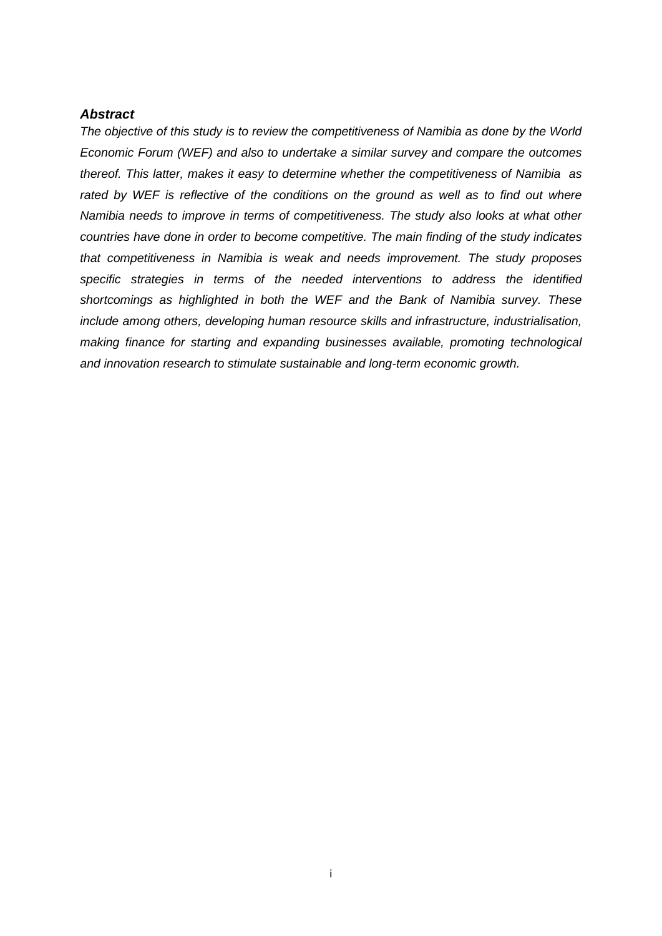### <span id="page-1-0"></span>*Abstract*

*The objective of this study is to review the competitiveness of Namibia as done by the World Economic Forum (WEF) and also to undertake a similar survey and compare the outcomes thereof. This latter, makes it easy to determine whether the competitiveness of Namibia as rated by WEF is reflective of the conditions on the ground as well as to find out where Namibia needs to improve in terms of competitiveness. The study also looks at what other countries have done in order to become competitive. The main finding of the study indicates that competitiveness in Namibia is weak and needs improvement. The study proposes specific strategies in terms of the needed interventions to address the identified shortcomings as highlighted in both the WEF and the Bank of Namibia survey. These include among others, developing human resource skills and infrastructure, industrialisation, making finance for starting and expanding businesses available, promoting technological and innovation research to stimulate sustainable and long-term economic growth.*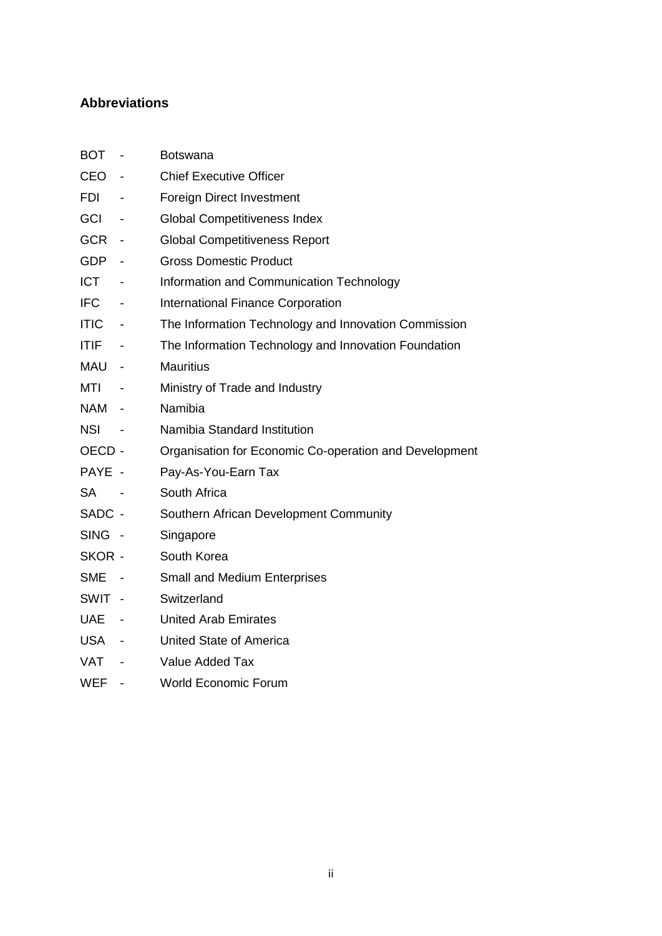## <span id="page-2-0"></span>**Abbreviations**

| BOT                   | $\overline{\phantom{a}}$ | Botswana                                               |
|-----------------------|--------------------------|--------------------------------------------------------|
| <b>CEO</b>            | $\overline{\phantom{a}}$ | <b>Chief Executive Officer</b>                         |
| <b>FDI</b>            | $\overline{\phantom{a}}$ | <b>Foreign Direct Investment</b>                       |
| <b>GCI</b>            | $\overline{\phantom{a}}$ | <b>Global Competitiveness Index</b>                    |
| <b>GCR</b>            | $\overline{\phantom{a}}$ | <b>Global Competitiveness Report</b>                   |
| <b>GDP</b>            |                          | <b>Gross Domestic Product</b>                          |
| <b>ICT</b>            | $\overline{\phantom{a}}$ | Information and Communication Technology               |
| <b>IFC</b>            | $\overline{\phantom{a}}$ | International Finance Corporation                      |
| <b>ITIC</b><br>$\sim$ |                          | The Information Technology and Innovation Commission   |
| <b>ITIF</b>           | $\overline{\phantom{a}}$ | The Information Technology and Innovation Foundation   |
| MAU -                 |                          | <b>Mauritius</b>                                       |
| MTI                   | $\overline{\phantom{a}}$ | Ministry of Trade and Industry                         |
| NAM                   | $\sim$ $-$               | Namibia                                                |
| <b>NSI</b>            | $\overline{\phantom{a}}$ | Namibia Standard Institution                           |
| OECD -                |                          | Organisation for Economic Co-operation and Development |
| PAYE -                |                          | Pay-As-You-Earn Tax                                    |
| <b>SA</b>             |                          | South Africa                                           |
| SADC -                |                          | Southern African Development Community                 |
| SING -                |                          | Singapore                                              |
| SKOR -                |                          | South Korea                                            |
| <b>SME</b>            | $\sim$                   | <b>Small and Medium Enterprises</b>                    |
| SWIT -                |                          | Switzerland                                            |
| <b>UAE</b><br>$\sim$  |                          | <b>United Arab Emirates</b>                            |
| <b>USA</b><br>$\sim$  |                          | <b>United State of America</b>                         |
| <b>VAT</b>            | $\overline{\phantom{a}}$ | Value Added Tax                                        |
| <b>WEF</b>            |                          | <b>World Economic Forum</b>                            |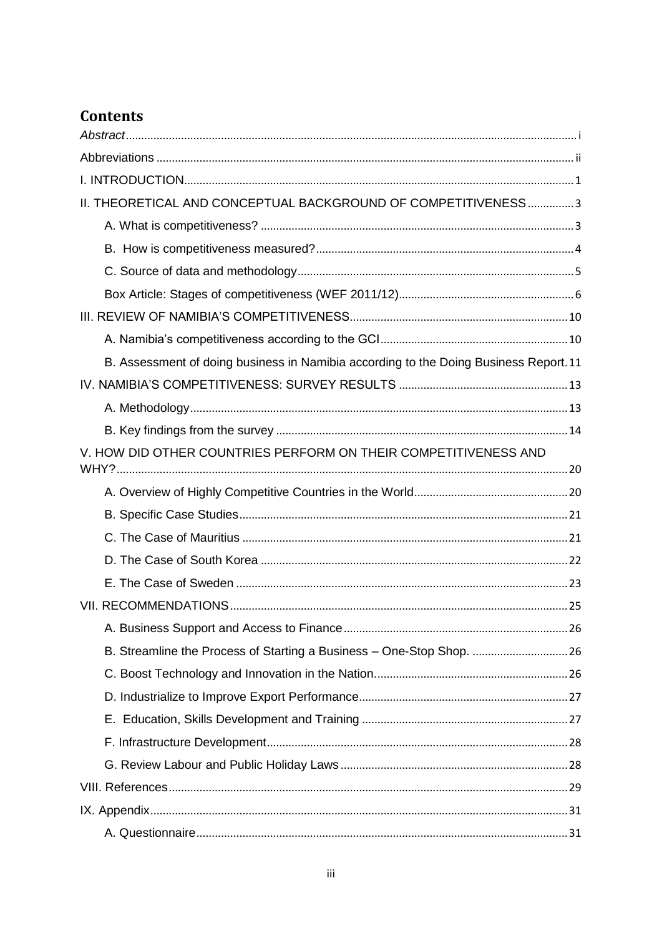# **Contents**

| II. THEORETICAL AND CONCEPTUAL BACKGROUND OF COMPETITIVENESS3                         |
|---------------------------------------------------------------------------------------|
|                                                                                       |
|                                                                                       |
|                                                                                       |
|                                                                                       |
|                                                                                       |
|                                                                                       |
| B. Assessment of doing business in Namibia according to the Doing Business Report. 11 |
|                                                                                       |
|                                                                                       |
|                                                                                       |
| V. HOW DID OTHER COUNTRIES PERFORM ON THEIR COMPETITIVENESS AND                       |
|                                                                                       |
|                                                                                       |
|                                                                                       |
|                                                                                       |
|                                                                                       |
|                                                                                       |
|                                                                                       |
| B. Streamline the Process of Starting a Business - One-Stop Shop. 26                  |
|                                                                                       |
|                                                                                       |
|                                                                                       |
|                                                                                       |
|                                                                                       |
|                                                                                       |
|                                                                                       |
|                                                                                       |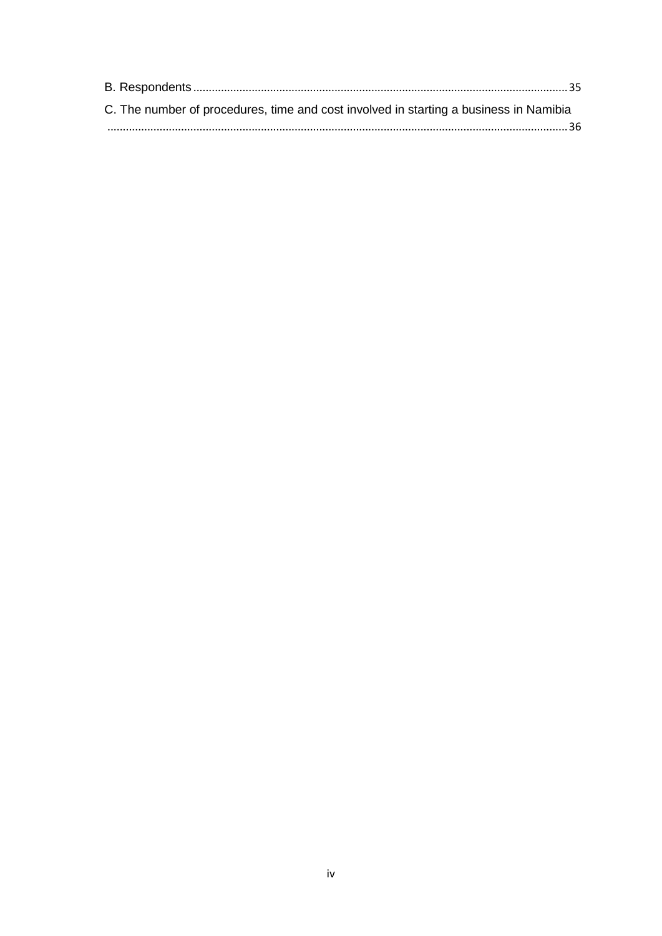| C. The number of procedures, time and cost involved in starting a business in Namibia |  |
|---------------------------------------------------------------------------------------|--|
|                                                                                       |  |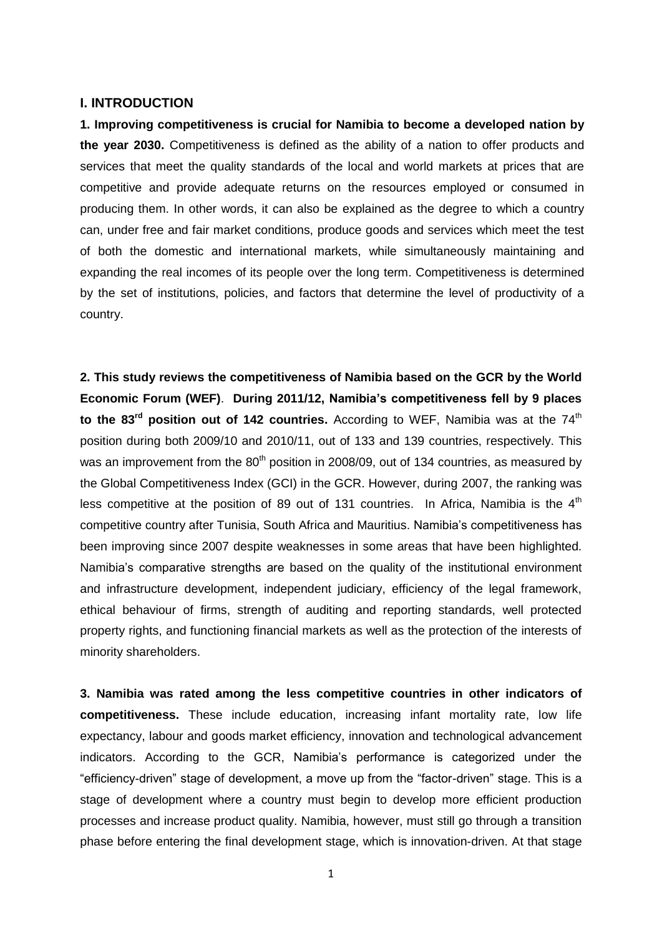#### <span id="page-5-0"></span>**I. INTRODUCTION**

**1. Improving competitiveness is crucial for Namibia to become a developed nation by the year 2030.** Competitiveness is defined as the ability of a nation to offer products and services that meet the quality standards of the local and world markets at prices that are competitive and provide adequate returns on the resources employed or consumed in producing them. In other words, it can also be explained as the degree to which a country can, under free and fair market conditions, produce goods and services which meet the test of both the domestic and international markets, while simultaneously maintaining and expanding the real incomes of its people over the long term. Competitiveness is determined by the set of institutions, policies, and factors that determine the level of productivity of a country.

**2. This study reviews the competitiveness of Namibia based on the GCR by the World Economic Forum (WEF)**. **During 2011/12, Namibia's competitiveness fell by 9 places** to the 83<sup>rd</sup> position out of 142 countries. According to WEF, Namibia was at the 74<sup>th</sup> position during both 2009/10 and 2010/11, out of 133 and 139 countries, respectively. This was an improvement from the  $80<sup>th</sup>$  position in 2008/09, out of 134 countries, as measured by the Global Competitiveness Index (GCI) in the GCR. However, during 2007, the ranking was less competitive at the position of 89 out of 131 countries. In Africa, Namibia is the  $4<sup>th</sup>$ competitive country after Tunisia, South Africa and Mauritius. Namibia's competitiveness has been improving since 2007 despite weaknesses in some areas that have been highlighted. Namibia's comparative strengths are based on the quality of the institutional environment and infrastructure development, independent judiciary, efficiency of the legal framework, ethical behaviour of firms, strength of auditing and reporting standards, well protected property rights, and functioning financial markets as well as the protection of the interests of minority shareholders.

**3. Namibia was rated among the less competitive countries in other indicators of competitiveness.** These include education, increasing infant mortality rate, low life expectancy, labour and goods market efficiency, innovation and technological advancement indicators. According to the GCR, Namibia's performance is categorized under the "efficiency-driven" stage of development, a move up from the "factor-driven" stage. This is a stage of development where a country must begin to develop more efficient production processes and increase product quality. Namibia, however, must still go through a transition phase before entering the final development stage, which is innovation-driven. At that stage

1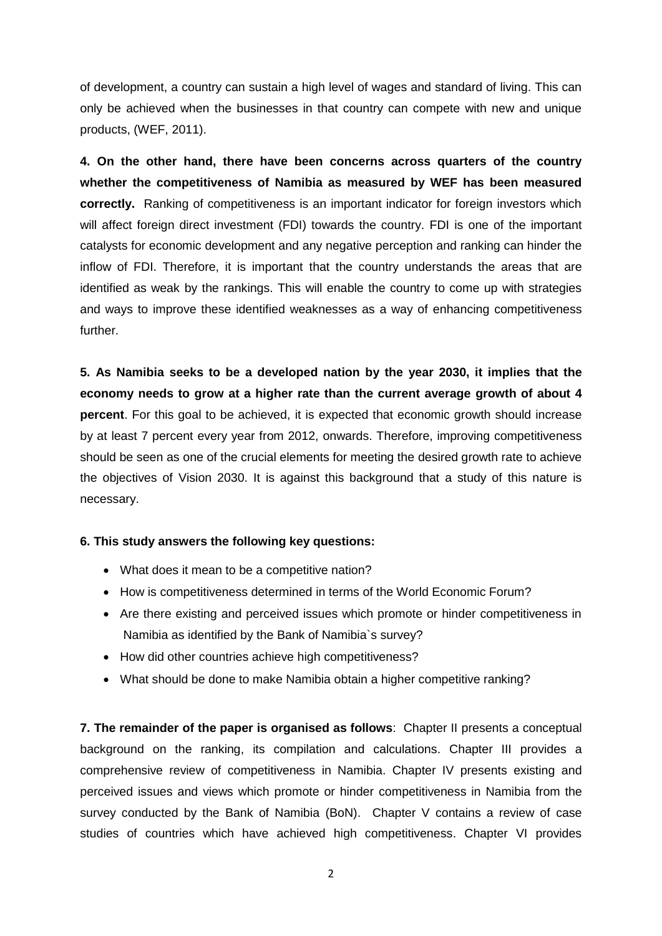of development, a country can sustain a high level of wages and standard of living. This can only be achieved when the businesses in that country can compete with new and unique products, (WEF, 2011).

**4. On the other hand, there have been concerns across quarters of the country whether the competitiveness of Namibia as measured by WEF has been measured correctly.** Ranking of competitiveness is an important indicator for foreign investors which will affect foreign direct investment (FDI) towards the country. FDI is one of the important catalysts for economic development and any negative perception and ranking can hinder the inflow of FDI. Therefore, it is important that the country understands the areas that are identified as weak by the rankings. This will enable the country to come up with strategies and ways to improve these identified weaknesses as a way of enhancing competitiveness further.

**5. As Namibia seeks to be a developed nation by the year 2030, it implies that the economy needs to grow at a higher rate than the current average growth of about 4 percent**. For this goal to be achieved, it is expected that economic growth should increase by at least 7 percent every year from 2012, onwards. Therefore, improving competitiveness should be seen as one of the crucial elements for meeting the desired growth rate to achieve the objectives of Vision 2030. It is against this background that a study of this nature is necessary.

### **6. This study answers the following key questions:**

- What does it mean to be a competitive nation?
- How is competitiveness determined in terms of the World Economic Forum?
- Are there existing and perceived issues which promote or hinder competitiveness in Namibia as identified by the Bank of Namibia`s survey?
- How did other countries achieve high competitiveness?
- What should be done to make Namibia obtain a higher competitive ranking?

**7. The remainder of the paper is organised as follows**: Chapter II presents a conceptual background on the ranking, its compilation and calculations. Chapter III provides a comprehensive review of competitiveness in Namibia. Chapter IV presents existing and perceived issues and views which promote or hinder competitiveness in Namibia from the survey conducted by the Bank of Namibia (BoN). Chapter V contains a review of case studies of countries which have achieved high competitiveness. Chapter VI provides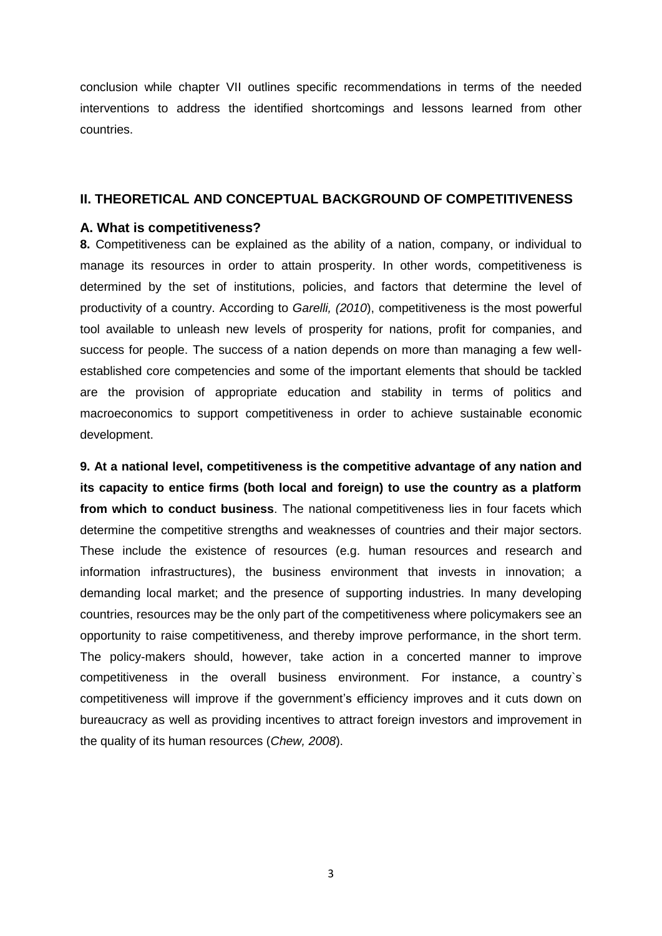conclusion while chapter VII outlines specific recommendations in terms of the needed interventions to address the identified shortcomings and lessons learned from other countries.

#### <span id="page-7-0"></span>**II. THEORETICAL AND CONCEPTUAL BACKGROUND OF COMPETITIVENESS**

#### <span id="page-7-1"></span>**A. What is competitiveness?**

**8.** Competitiveness can be explained as the ability of a nation, company, or individual to manage its resources in order to attain prosperity. In other words, competitiveness is determined by the set of institutions, policies, and factors that determine the level of productivity of a country. According to *Garelli, (2010*), competitiveness is the most powerful tool available to unleash new levels of prosperity for nations, profit for companies, and success for people. The success of a nation depends on more than managing a few wellestablished core competencies and some of the important elements that should be tackled are the provision of appropriate education and stability in terms of politics and macroeconomics to support competitiveness in order to achieve sustainable economic development.

**9. At a national level, competitiveness is the competitive advantage of any nation and its capacity to entice firms (both local and foreign) to use the country as a platform from which to conduct business**. The national competitiveness lies in four facets which determine the competitive strengths and weaknesses of countries and their major sectors. These include the existence of resources (e.g. human resources and research and information infrastructures), the business environment that invests in innovation; a demanding local market; and the presence of supporting industries. In many developing countries, resources may be the only part of the competitiveness where policymakers see an opportunity to raise competitiveness, and thereby improve performance, in the short term. The policy-makers should, however, take action in a concerted manner to improve competitiveness in the overall business environment. For instance, a country`s competitiveness will improve if the government's efficiency improves and it cuts down on bureaucracy as well as providing incentives to attract foreign investors and improvement in the quality of its human resources (*Chew, 2008*).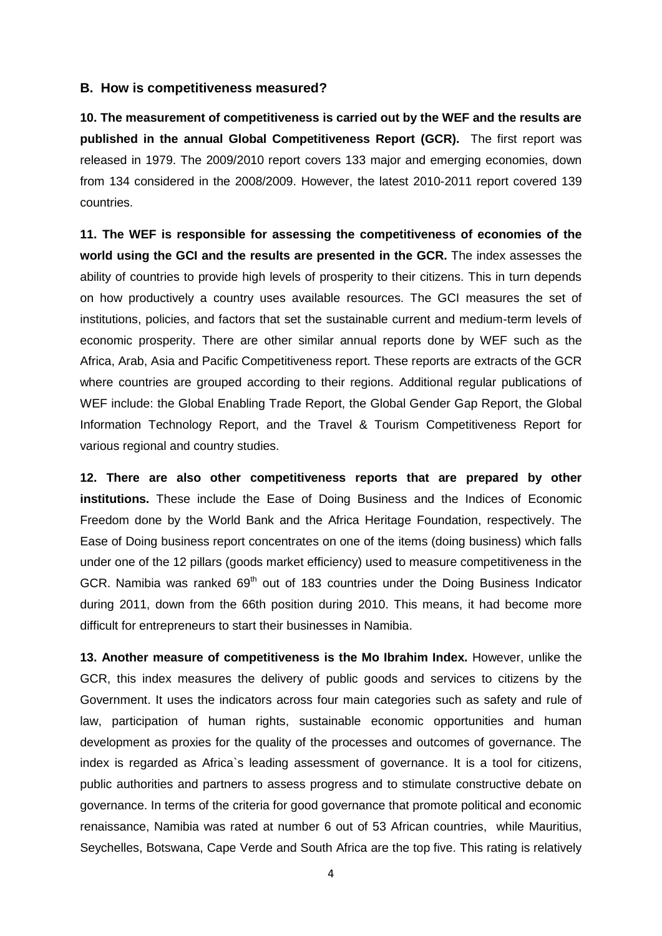#### <span id="page-8-0"></span>**B. How is competitiveness measured?**

**10. The measurement of competitiveness is carried out by the WEF and the results are published in the annual Global Competitiveness Report (GCR).** The first report was released in 1979. The 2009/2010 report covers 133 major and emerging economies, down from 134 considered in the 2008/2009. However, the latest 2010-2011 report covered 139 countries.

**11. The WEF is responsible for assessing the competitiveness of economies of the world using the GCI and the results are presented in the GCR.** The index assesses the ability of countries to provide high levels of prosperity to their citizens. This in turn depends on how productively a country uses available resources. The GCI measures the set of institutions, policies, and factors that set the sustainable current and medium-term levels of economic prosperity. There are other similar annual reports done by WEF such as the Africa, Arab, Asia and Pacific Competitiveness report. These reports are extracts of the GCR where countries are grouped according to their regions. Additional regular publications of WEF include: the Global Enabling Trade Report, the Global Gender Gap Report, the Global Information Technology Report, and the Travel & Tourism Competitiveness Report for various regional and country studies.

**12. There are also other competitiveness reports that are prepared by other institutions.** These include the Ease of Doing Business and the Indices of Economic Freedom done by the World Bank and the Africa Heritage Foundation, respectively. The Ease of Doing business report concentrates on one of the items (doing business) which falls under one of the 12 pillars (goods market efficiency) used to measure competitiveness in the GCR. Namibia was ranked 69<sup>th</sup> out of 183 countries under the Doing Business Indicator during 2011, down from the 66th position during 2010. This means, it had become more difficult for entrepreneurs to start their businesses in Namibia.

**13. Another measure of competitiveness is the Mo Ibrahim Index.** However, unlike the GCR, this index measures the delivery of public goods and services to citizens by the Government. It uses the indicators across four main categories such as safety and rule of law, participation of human rights, sustainable economic opportunities and human development as proxies for the quality of the processes and outcomes of governance. The index is regarded as Africa`s leading assessment of governance. It is a tool for citizens, public authorities and partners to assess progress and to stimulate constructive debate on governance. In terms of the criteria for good governance that promote political and economic renaissance, Namibia was rated at number 6 out of 53 African countries, while Mauritius, Seychelles, Botswana, Cape Verde and South Africa are the top five. This rating is relatively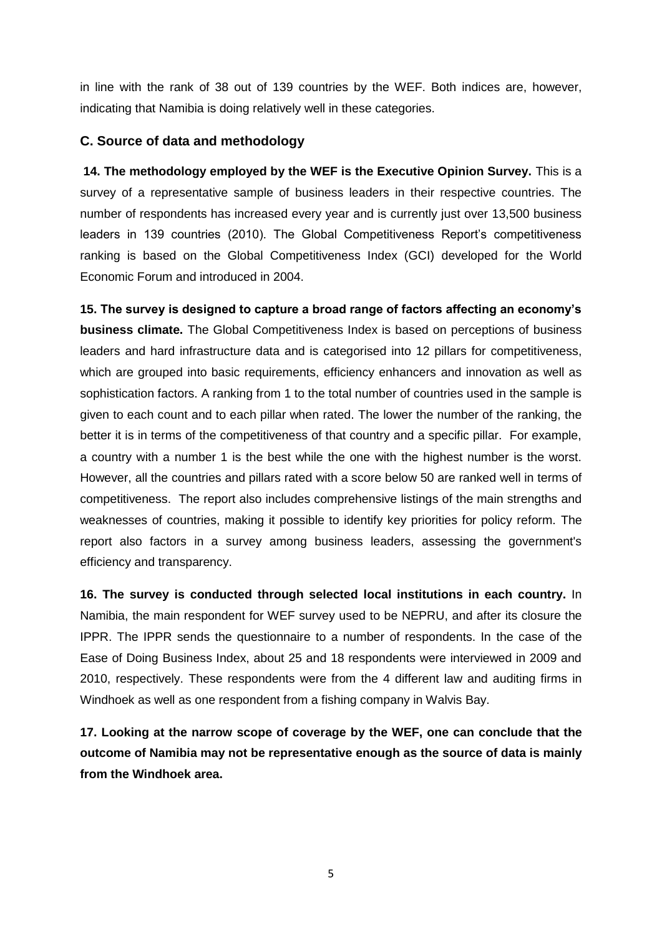in line with the rank of 38 out of 139 countries by the WEF. Both indices are, however, indicating that Namibia is doing relatively well in these categories.

## <span id="page-9-0"></span>**C. Source of data and methodology**

**14. The methodology employed by the WEF is the Executive Opinion Survey.** This is a survey of a representative sample of business leaders in their respective countries. The number of respondents has increased every year and is currently just over 13,500 business leaders in 139 countries (2010). The Global Competitiveness Report's competitiveness ranking is based on the Global Competitiveness Index (GCI) developed for the World Economic Forum and introduced in 2004.

**15. The survey is designed to capture a broad range of factors affecting an economy's business climate.** The Global Competitiveness Index is based on perceptions of business leaders and hard infrastructure data and is categorised into 12 pillars for competitiveness, which are grouped into basic requirements, efficiency enhancers and innovation as well as sophistication factors. A ranking from 1 to the total number of countries used in the sample is given to each count and to each pillar when rated. The lower the number of the ranking, the better it is in terms of the competitiveness of that country and a specific pillar. For example, a country with a number 1 is the best while the one with the highest number is the worst. However, all the countries and pillars rated with a score below 50 are ranked well in terms of competitiveness. The report also includes comprehensive listings of the main strengths and weaknesses of countries, making it possible to identify key priorities for policy reform. The report also factors in a survey among business leaders, assessing the government's efficiency and transparency.

**16. The survey is conducted through selected local institutions in each country.** In Namibia, the main respondent for WEF survey used to be NEPRU, and after its closure the IPPR. The IPPR sends the questionnaire to a number of respondents. In the case of the Ease of Doing Business Index, about 25 and 18 respondents were interviewed in 2009 and 2010, respectively. These respondents were from the 4 different law and auditing firms in Windhoek as well as one respondent from a fishing company in Walvis Bay.

**17. Looking at the narrow scope of coverage by the WEF, one can conclude that the outcome of Namibia may not be representative enough as the source of data is mainly from the Windhoek area.**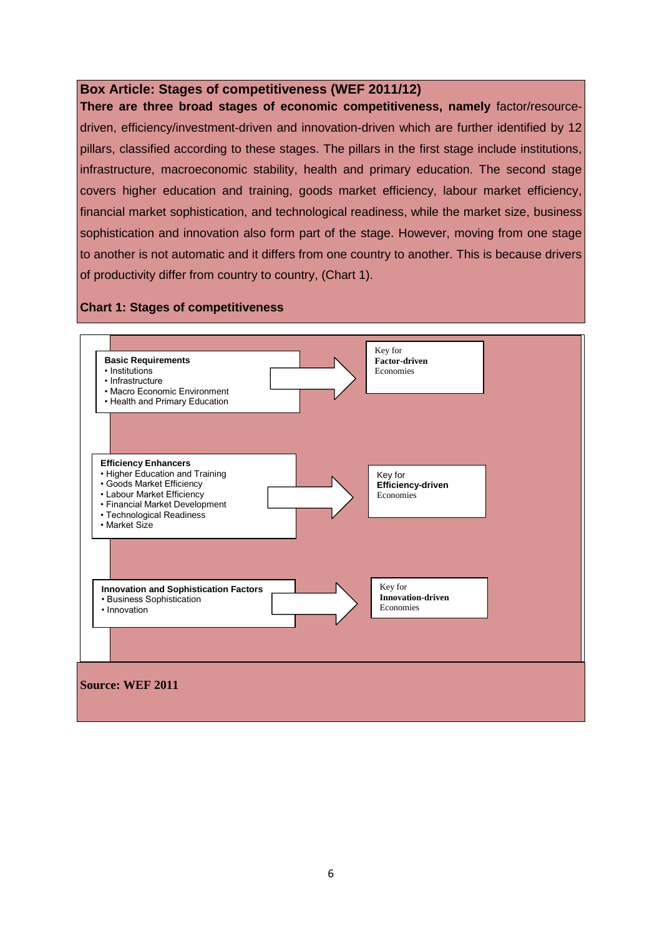### <span id="page-10-0"></span>**Box Article: Stages of competitiveness (WEF 2011/12)**

**There are three broad stages of economic competitiveness, namely** factor/resourcedriven, efficiency/investment-driven and innovation-driven which are further identified by 12 pillars, classified according to these stages. The pillars in the first stage include institutions, infrastructure, macroeconomic stability, health and primary education. The second stage covers higher education and training, goods market efficiency, labour market efficiency, financial market sophistication, and technological readiness, while the market size, business sophistication and innovation also form part of the stage. However, moving from one stage to another is not automatic and it differs from one country to another. This is because drivers of productivity differ from country to country, (Chart 1).

#### **Chart 1: Stages of competitiveness**

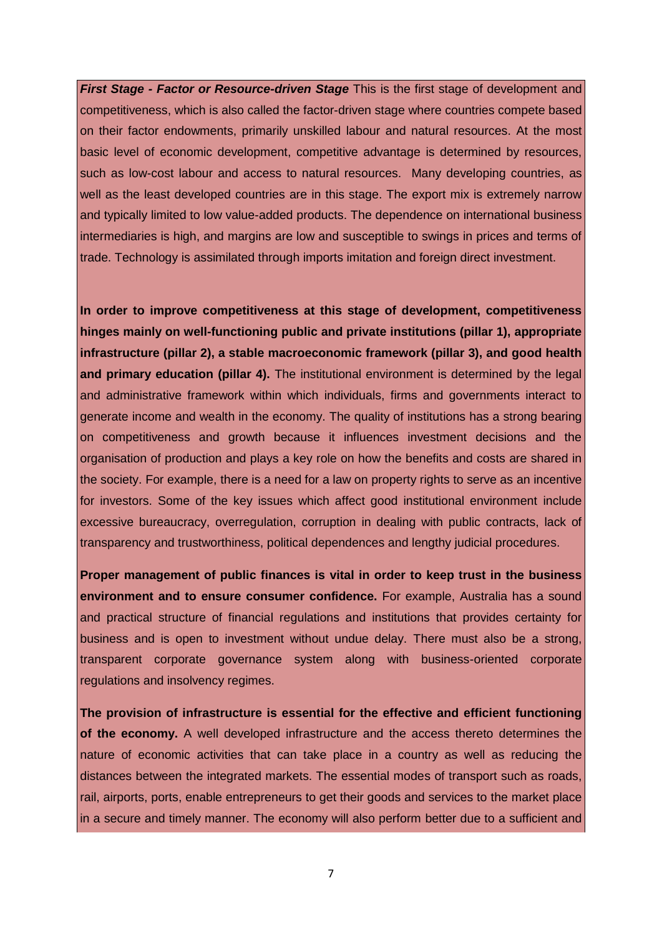*First Stage - Factor or Resource-driven Stage* This is the first stage of development and competitiveness, which is also called the factor-driven stage where countries compete based on their factor endowments, primarily unskilled labour and natural resources. At the most basic level of economic development, competitive advantage is determined by resources, such as low-cost labour and access to natural resources. Many developing countries, as well as the least developed countries are in this stage. The export mix is extremely narrow and typically limited to low value-added products. The dependence on international business intermediaries is high, and margins are low and susceptible to swings in prices and terms of trade. Technology is assimilated through imports imitation and foreign direct investment.

**In order to improve competitiveness at this stage of development, competitiveness hinges mainly on well-functioning public and private institutions (pillar 1), appropriate infrastructure (pillar 2), a stable macroeconomic framework (pillar 3), and good health and primary education (pillar 4).** The institutional environment is determined by the legal and administrative framework within which individuals, firms and governments interact to generate income and wealth in the economy. The quality of institutions has a strong bearing on competitiveness and growth because it influences investment decisions and the organisation of production and plays a key role on how the benefits and costs are shared in the society. For example, there is a need for a law on property rights to serve as an incentive for investors. Some of the key issues which affect good institutional environment include excessive bureaucracy, overregulation, corruption in dealing with public contracts, lack of transparency and trustworthiness, political dependences and lengthy judicial procedures.

**Proper management of public finances is vital in order to keep trust in the business environment and to ensure consumer confidence.** For example, Australia has a sound and practical structure of financial regulations and institutions that provides certainty for business and is open to investment without undue delay. There must also be a strong, transparent corporate governance system along with business-oriented corporate regulations and insolvency regimes.

**The provision of infrastructure is essential for the effective and efficient functioning of the economy.** A well developed infrastructure and the access thereto determines the nature of economic activities that can take place in a country as well as reducing the distances between the integrated markets. The essential modes of transport such as roads, rail, airports, ports, enable entrepreneurs to get their goods and services to the market place in a secure and timely manner. The economy will also perform better due to a sufficient and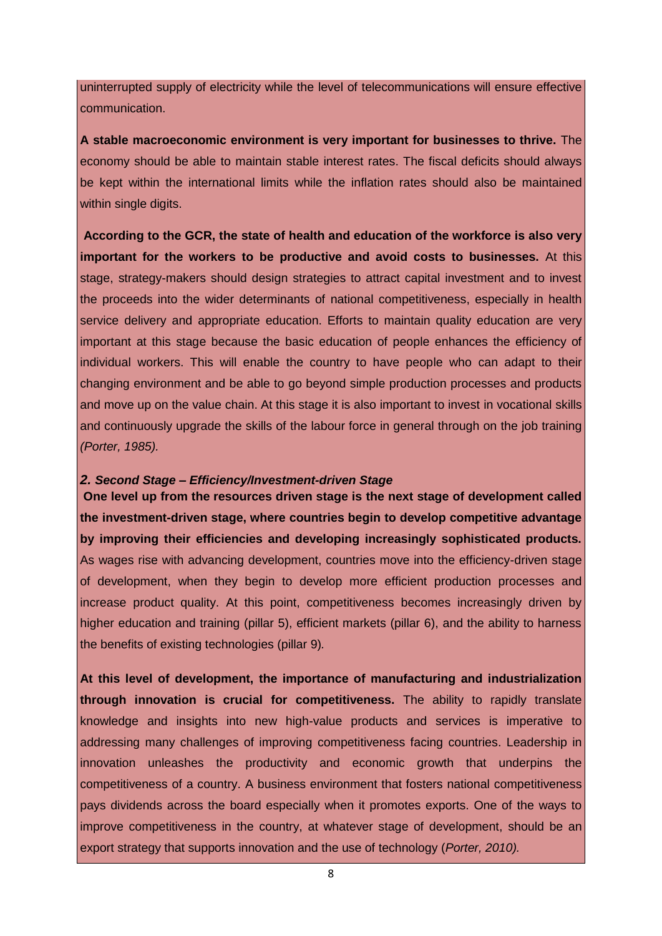uninterrupted supply of electricity while the level of telecommunications will ensure effective communication.

**A stable macroeconomic environment is very important for businesses to thrive.** The economy should be able to maintain stable interest rates. The fiscal deficits should always be kept within the international limits while the inflation rates should also be maintained within single digits.

**According to the GCR, the state of health and education of the workforce is also very important for the workers to be productive and avoid costs to businesses.** At this stage, strategy-makers should design strategies to attract capital investment and to invest the proceeds into the wider determinants of national competitiveness, especially in health service delivery and appropriate education. Efforts to maintain quality education are very important at this stage because the basic education of people enhances the efficiency of individual workers. This will enable the country to have people who can adapt to their changing environment and be able to go beyond simple production processes and products and move up on the value chain. At this stage it is also important to invest in vocational skills and continuously upgrade the skills of the labour force in general through on the job training *(Porter, 1985).*

### *2. Second Stage – Efficiency/Investment-driven Stage*

**One level up from the resources driven stage is the next stage of development called the investment-driven stage, where countries begin to develop competitive advantage by improving their efficiencies and developing increasingly sophisticated products.** As wages rise with advancing development, countries move into the efficiency-driven stage of development, when they begin to develop more efficient production processes and increase product quality. At this point, competitiveness becomes increasingly driven by higher education and training (pillar 5), efficient markets (pillar 6), and the ability to harness the benefits of existing technologies (pillar 9)*.*

**At this level of development, the importance of manufacturing and industrialization through innovation is crucial for competitiveness.** The ability to rapidly translate knowledge and insights into new high-value products and services is imperative to addressing many challenges of improving competitiveness facing countries. Leadership in innovation unleashes the productivity and economic growth that underpins the competitiveness of a country. A business environment that fosters national competitiveness pays dividends across the board especially when it promotes exports. One of the ways to improve competitiveness in the country, at whatever stage of development, should be an export strategy that supports innovation and the use of technology (*Porter, 2010).*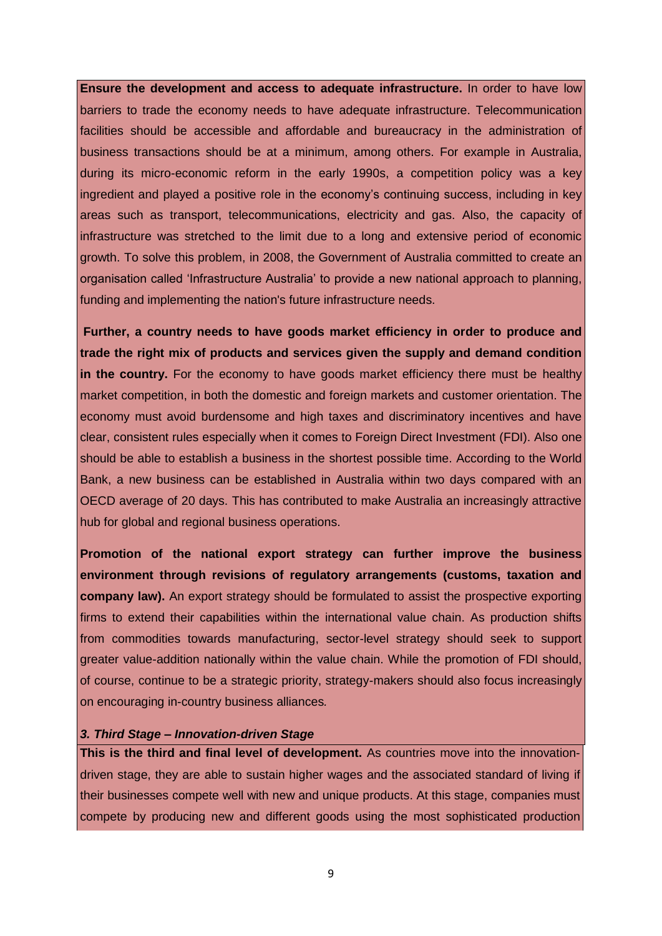**Ensure the development and access to adequate infrastructure.** In order to have low barriers to trade the economy needs to have adequate infrastructure. Telecommunication facilities should be accessible and affordable and bureaucracy in the administration of business transactions should be at a minimum, among others. For example in Australia, during its micro-economic reform in the early 1990s, a competition policy was a key ingredient and played a positive role in the economy's continuing success, including in key areas such as transport, telecommunications, electricity and gas. Also, the capacity of infrastructure was stretched to the limit due to a long and extensive period of economic growth. To solve this problem, in 2008, the Government of Australia committed to create an organisation called 'Infrastructure Australia' to provide a new national approach to planning, funding and implementing the nation's future infrastructure needs.

**Further, a country needs to have goods market efficiency in order to produce and trade the right mix of products and services given the supply and demand condition in the country.** For the economy to have goods market efficiency there must be healthy market competition, in both the domestic and foreign markets and customer orientation. The economy must avoid burdensome and high taxes and discriminatory incentives and have clear, consistent rules especially when it comes to Foreign Direct Investment (FDI). Also one should be able to establish a business in the shortest possible time. According to the World Bank, a new business can be established in Australia within two days compared with an OECD average of 20 days. This has contributed to make Australia an increasingly attractive hub for global and regional business operations.

**Promotion of the national export strategy can further improve the business environment through revisions of regulatory arrangements (customs, taxation and company law).** An export strategy should be formulated to assist the prospective exporting firms to extend their capabilities within the international value chain. As production shifts from commodities towards manufacturing, sector-level strategy should seek to support greater value-addition nationally within the value chain. While the promotion of FDI should, of course, continue to be a strategic priority, strategy-makers should also focus increasingly on encouraging in-country business alliances*.*

#### *3. Third Stage – Innovation-driven Stage*

**This is the third and final level of development.** As countries move into the innovationdriven stage, they are able to sustain higher wages and the associated standard of living if their businesses compete well with new and unique products. At this stage, companies must compete by producing new and different goods using the most sophisticated production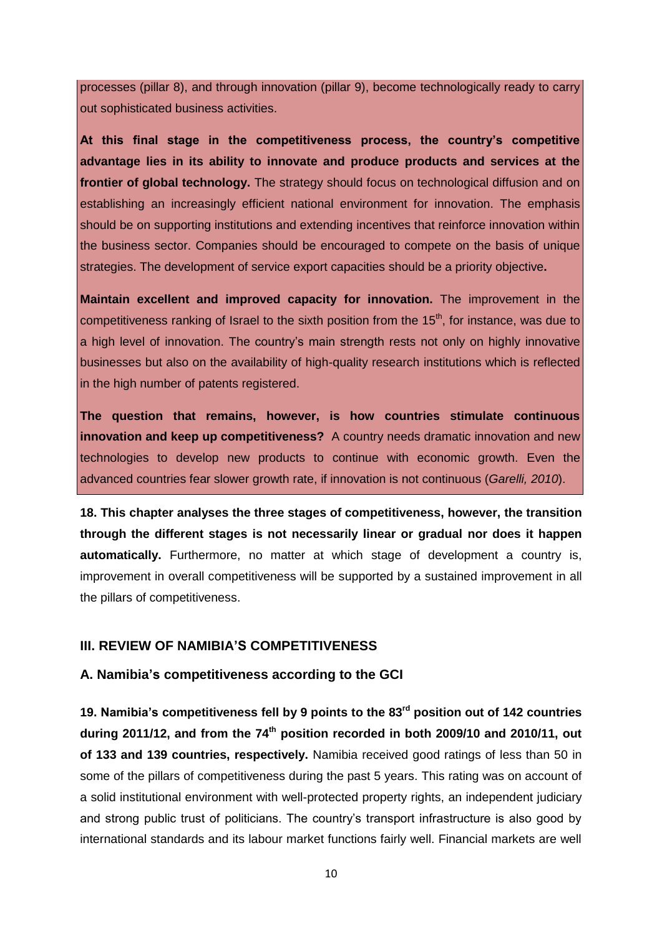processes (pillar 8), and through innovation (pillar 9), become technologically ready to carry out sophisticated business activities.

**At this final stage in the competitiveness process, the country's competitive advantage lies in its ability to innovate and produce products and services at the frontier of global technology.** The strategy should focus on technological diffusion and on establishing an increasingly efficient national environment for innovation. The emphasis should be on supporting institutions and extending incentives that reinforce innovation within the business sector. Companies should be encouraged to compete on the basis of unique strategies. The development of service export capacities should be a priority objective**.**

**Maintain excellent and improved capacity for innovation.** The improvement in the competitiveness ranking of Israel to the sixth position from the 15<sup>th</sup>, for instance, was due to a high level of innovation. The country's main strength rests not only on highly innovative businesses but also on the availability of high-quality research institutions which is reflected in the high number of patents registered.

**The question that remains, however, is how countries stimulate continuous innovation and keep up competitiveness?** A country needs dramatic innovation and new technologies to develop new products to continue with economic growth. Even the advanced countries fear slower growth rate, if innovation is not continuous (*Garelli, 2010*).

**18. This chapter analyses the three stages of competitiveness, however, the transition through the different stages is not necessarily linear or gradual nor does it happen automatically.** Furthermore, no matter at which stage of development a country is, improvement in overall competitiveness will be supported by a sustained improvement in all the pillars of competitiveness.

### <span id="page-14-0"></span>**III. REVIEW OF NAMIBIA'S COMPETITIVENESS**

### <span id="page-14-1"></span>**A. Namibia's competitiveness according to the GCI**

**19. Namibia's competitiveness fell by 9 points to the 83rd position out of 142 countries during 2011/12, and from the 74th position recorded in both 2009/10 and 2010/11, out of 133 and 139 countries, respectively.** Namibia received good ratings of less than 50 in some of the pillars of competitiveness during the past 5 years. This rating was on account of a solid institutional environment with well-protected property rights, an independent judiciary and strong public trust of politicians. The country's transport infrastructure is also good by international standards and its labour market functions fairly well. Financial markets are well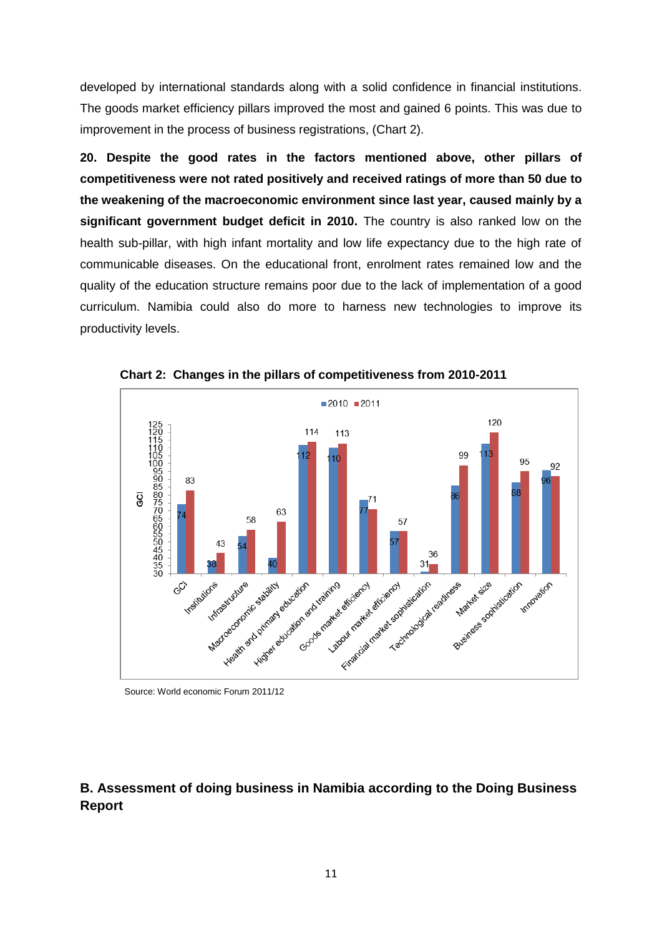developed by international standards along with a solid confidence in financial institutions. The goods market efficiency pillars improved the most and gained 6 points. This was due to improvement in the process of business registrations, (Chart 2).

**20. Despite the good rates in the factors mentioned above, other pillars of competitiveness were not rated positively and received ratings of more than 50 due to the weakening of the macroeconomic environment since last year, caused mainly by a significant government budget deficit in 2010.** The country is also ranked low on the health sub-pillar, with high infant mortality and low life expectancy due to the high rate of communicable diseases. On the educational front, enrolment rates remained low and the quality of the education structure remains poor due to the lack of implementation of a good curriculum. Namibia could also do more to harness new technologies to improve its productivity levels.



**Chart 2: Changes in the pillars of competitiveness from 2010-2011**

Source: World economic Forum 2011/12

## <span id="page-15-0"></span>**B. Assessment of doing business in Namibia according to the Doing Business Report**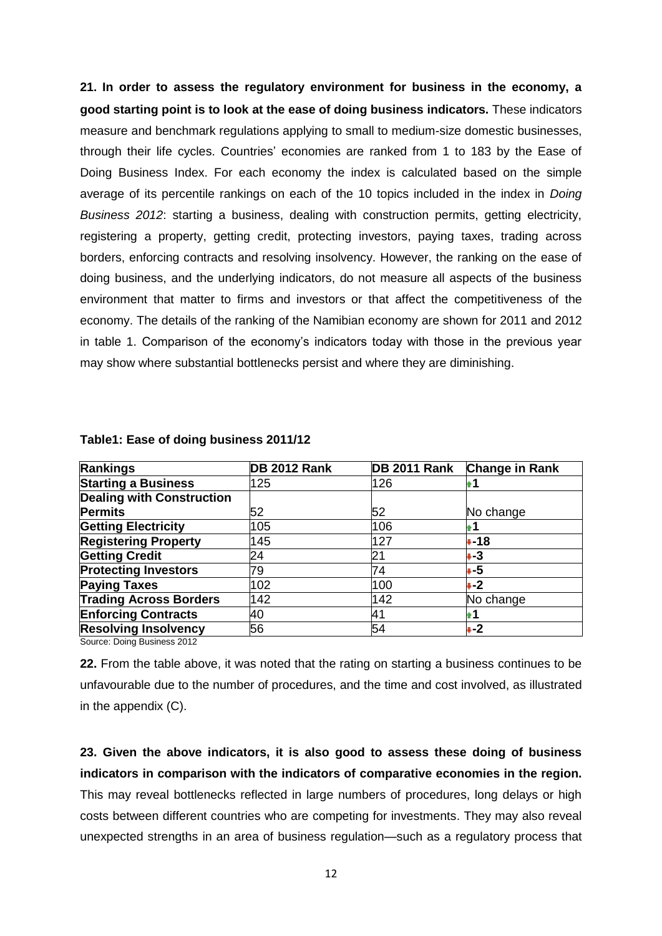**21. In order to assess the regulatory environment for business in the economy, a good starting point is to look at the ease of doing business indicators.** These indicators measure and benchmark regulations applying to small to medium-size domestic businesses, through their life cycles. Countries' economies are ranked from 1 to 183 by the Ease of Doing Business Index. For each economy the index is calculated based on the simple average of its percentile rankings on each of the 10 topics included in the index in *Doing Business 2012*: starting a business, dealing with construction permits, getting electricity, registering a property, getting credit, protecting investors, paying taxes, trading across borders, enforcing contracts and resolving insolvency. However, the ranking on the ease of doing business, and the underlying indicators, do not measure all aspects of the business environment that matter to firms and investors or that affect the competitiveness of the economy. The details of the ranking of the Namibian economy are shown for 2011 and 2012 in table 1. Comparison of the economy's indicators today with those in the previous year may show where substantial bottlenecks persist and where they are diminishing.

| Rankings                         | <b>DB 2012 Rank</b> | DB 2011 Rank | <b>Change in Rank</b> |
|----------------------------------|---------------------|--------------|-----------------------|
| <b>Starting a Business</b>       | 125                 | 126          |                       |
| <b>Dealing with Construction</b> |                     |              |                       |
| <b>Permits</b>                   | 52                  | 52           | No change             |
| <b>Getting Electricity</b>       | 105                 | 106          |                       |
| <b>Registering Property</b>      | 145                 | 127          | $+18$                 |
| <b>Getting Credit</b>            | 24                  | 21           | ∔ 3                   |
| <b>Protecting Investors</b>      | 79                  | 74           | ∔ 5                   |
| <b>Paying Taxes</b>              | 102                 | 100          | ∔-2                   |
| <b>Trading Across Borders</b>    | 142                 | 142          | No change             |
| <b>Enforcing Contracts</b>       | 40                  | 41           |                       |
| <b>Resolving Insolvency</b>      | 56                  | 54           | $+2$                  |

#### **Table1: Ease of doing business 2011/12**

Source: Doing Business 2012

**22.** From the table above, it was noted that the rating on starting a business continues to be unfavourable due to the number of procedures, and the time and cost involved, as illustrated in the appendix (C).

**23. Given the above indicators, it is also good to assess these doing of business indicators in comparison with the indicators of comparative economies in the region.** This may reveal bottlenecks reflected in large numbers of procedures, long delays or high costs between different countries who are competing for investments. They may also reveal unexpected strengths in an area of business regulation—such as a regulatory process that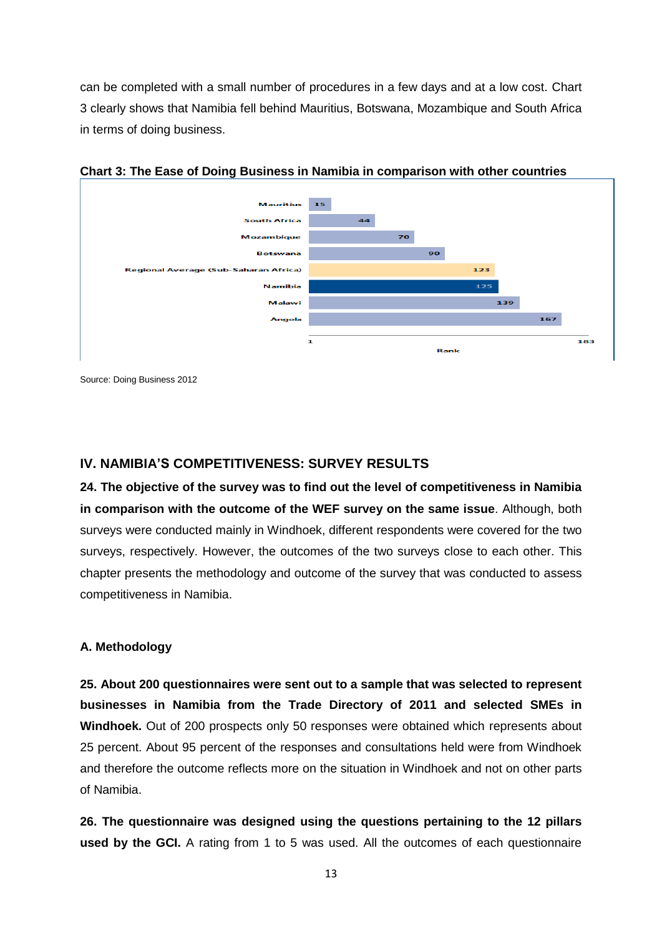can be completed with a small number of procedures in a few days and at a low cost. Chart 3 clearly shows that Namibia fell behind Mauritius, Botswana, Mozambique and South Africa in terms of doing business.



**Chart 3: The Ease of Doing Business in Namibia in comparison with other countries**

Source: Doing Business 2012

## <span id="page-17-0"></span>**IV. NAMIBIA'S COMPETITIVENESS: SURVEY RESULTS**

**24. The objective of the survey was to find out the level of competitiveness in Namibia in comparison with the outcome of the WEF survey on the same issue**. Although, both surveys were conducted mainly in Windhoek, different respondents were covered for the two surveys, respectively. However, the outcomes of the two surveys close to each other. This chapter presents the methodology and outcome of the survey that was conducted to assess competitiveness in Namibia.

### <span id="page-17-1"></span>**A. Methodology**

**25. About 200 questionnaires were sent out to a sample that was selected to represent businesses in Namibia from the Trade Directory of 2011 and selected SMEs in Windhoek.** Out of 200 prospects only 50 responses were obtained which represents about 25 percent. About 95 percent of the responses and consultations held were from Windhoek and therefore the outcome reflects more on the situation in Windhoek and not on other parts of Namibia.

**26. The questionnaire was designed using the questions pertaining to the 12 pillars used by the GCI.** A rating from 1 to 5 was used. All the outcomes of each questionnaire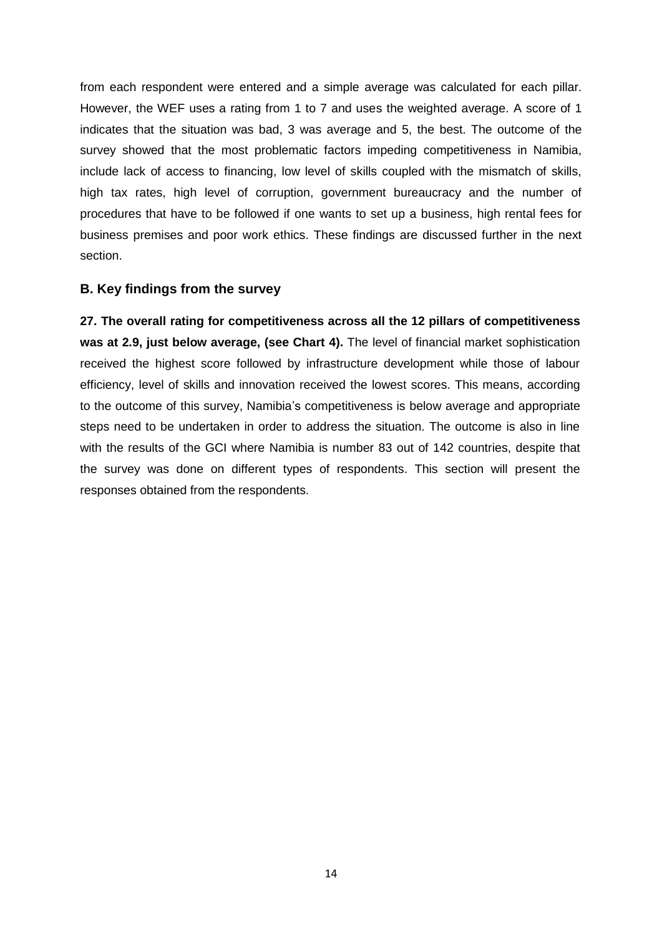from each respondent were entered and a simple average was calculated for each pillar. However, the WEF uses a rating from 1 to 7 and uses the weighted average. A score of 1 indicates that the situation was bad, 3 was average and 5, the best. The outcome of the survey showed that the most problematic factors impeding competitiveness in Namibia, include lack of access to financing, low level of skills coupled with the mismatch of skills, high tax rates, high level of corruption, government bureaucracy and the number of procedures that have to be followed if one wants to set up a business, high rental fees for business premises and poor work ethics. These findings are discussed further in the next section.

### <span id="page-18-0"></span>**B. Key findings from the survey**

**27. The overall rating for competitiveness across all the 12 pillars of competitiveness**  was at 2.9, just below average, (see Chart 4). The level of financial market sophistication received the highest score followed by infrastructure development while those of labour efficiency, level of skills and innovation received the lowest scores. This means, according to the outcome of this survey, Namibia's competitiveness is below average and appropriate steps need to be undertaken in order to address the situation. The outcome is also in line with the results of the GCI where Namibia is number 83 out of 142 countries, despite that the survey was done on different types of respondents. This section will present the responses obtained from the respondents.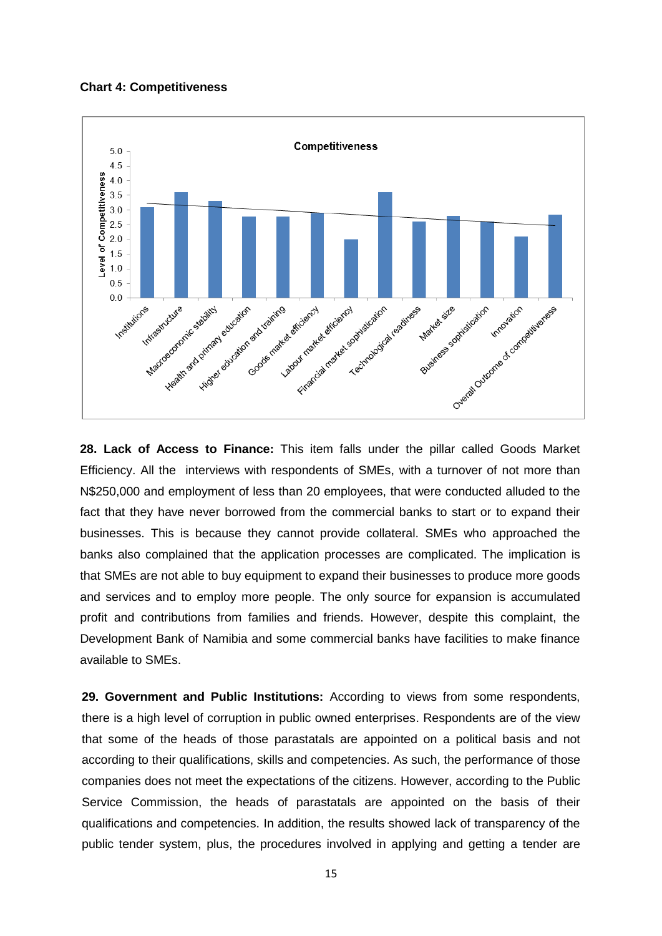**Chart 4: Competitiveness**



**28. Lack of Access to Finance:** This item falls under the pillar called Goods Market Efficiency. All the interviews with respondents of SMEs, with a turnover of not more than N\$250,000 and employment of less than 20 employees, that were conducted alluded to the fact that they have never borrowed from the commercial banks to start or to expand their businesses. This is because they cannot provide collateral. SMEs who approached the banks also complained that the application processes are complicated. The implication is that SMEs are not able to buy equipment to expand their businesses to produce more goods and services and to employ more people. The only source for expansion is accumulated profit and contributions from families and friends. However, despite this complaint, the Development Bank of Namibia and some commercial banks have facilities to make finance available to SMEs.

**29. Government and Public Institutions:** According to views from some respondents, there is a high level of corruption in public owned enterprises. Respondents are of the view that some of the heads of those parastatals are appointed on a political basis and not according to their qualifications, skills and competencies. As such, the performance of those companies does not meet the expectations of the citizens. However, according to the Public Service Commission, the heads of parastatals are appointed on the basis of their qualifications and competencies. In addition, the results showed lack of transparency of the public tender system, plus, the procedures involved in applying and getting a tender are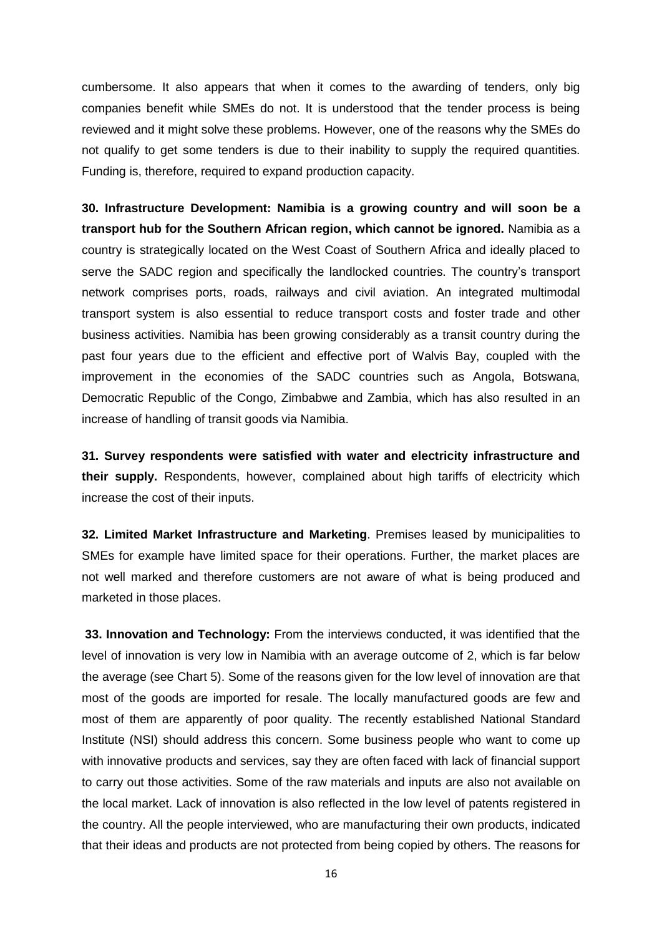cumbersome. It also appears that when it comes to the awarding of tenders, only big companies benefit while SMEs do not. It is understood that the tender process is being reviewed and it might solve these problems. However, one of the reasons why the SMEs do not qualify to get some tenders is due to their inability to supply the required quantities. Funding is, therefore, required to expand production capacity.

**30. Infrastructure Development: Namibia is a growing country and will soon be a transport hub for the Southern African region, which cannot be ignored.** Namibia as a country is strategically located on the West Coast of Southern Africa and ideally placed to serve the SADC region and specifically the landlocked countries. The country's transport network comprises ports, roads, railways and civil aviation. An integrated multimodal transport system is also essential to reduce transport costs and foster trade and other business activities. Namibia has been growing considerably as a transit country during the past four years due to the efficient and effective port of Walvis Bay, coupled with the improvement in the economies of the SADC countries such as Angola, Botswana, Democratic Republic of the Congo, Zimbabwe and Zambia, which has also resulted in an increase of handling of transit goods via Namibia.

**31. Survey respondents were satisfied with water and electricity infrastructure and their supply.** Respondents, however, complained about high tariffs of electricity which increase the cost of their inputs.

**32. Limited Market Infrastructure and Marketing**. Premises leased by municipalities to SMEs for example have limited space for their operations. Further, the market places are not well marked and therefore customers are not aware of what is being produced and marketed in those places.

**33. Innovation and Technology:** From the interviews conducted, it was identified that the level of innovation is very low in Namibia with an average outcome of 2, which is far below the average (see Chart 5). Some of the reasons given for the low level of innovation are that most of the goods are imported for resale. The locally manufactured goods are few and most of them are apparently of poor quality. The recently established National Standard Institute (NSI) should address this concern. Some business people who want to come up with innovative products and services, say they are often faced with lack of financial support to carry out those activities. Some of the raw materials and inputs are also not available on the local market. Lack of innovation is also reflected in the low level of patents registered in the country. All the people interviewed, who are manufacturing their own products, indicated that their ideas and products are not protected from being copied by others. The reasons for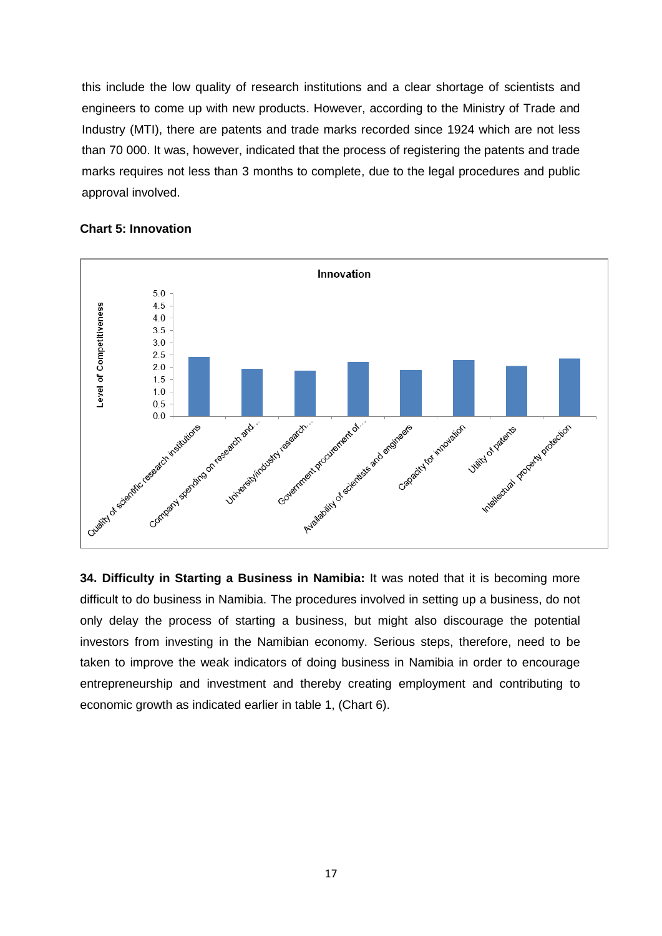this include the low quality of research institutions and a clear shortage of scientists and engineers to come up with new products. However, according to the Ministry of Trade and Industry (MTI), there are patents and trade marks recorded since 1924 which are not less than 70 000. It was, however, indicated that the process of registering the patents and trade marks requires not less than 3 months to complete, due to the legal procedures and public approval involved.



#### **Chart 5: Innovation**

**34. Difficulty in Starting a Business in Namibia:** It was noted that it is becoming more difficult to do business in Namibia. The procedures involved in setting up a business, do not only delay the process of starting a business, but might also discourage the potential investors from investing in the Namibian economy. Serious steps, therefore, need to be taken to improve the weak indicators of doing business in Namibia in order to encourage entrepreneurship and investment and thereby creating employment and contributing to economic growth as indicated earlier in table 1, (Chart 6).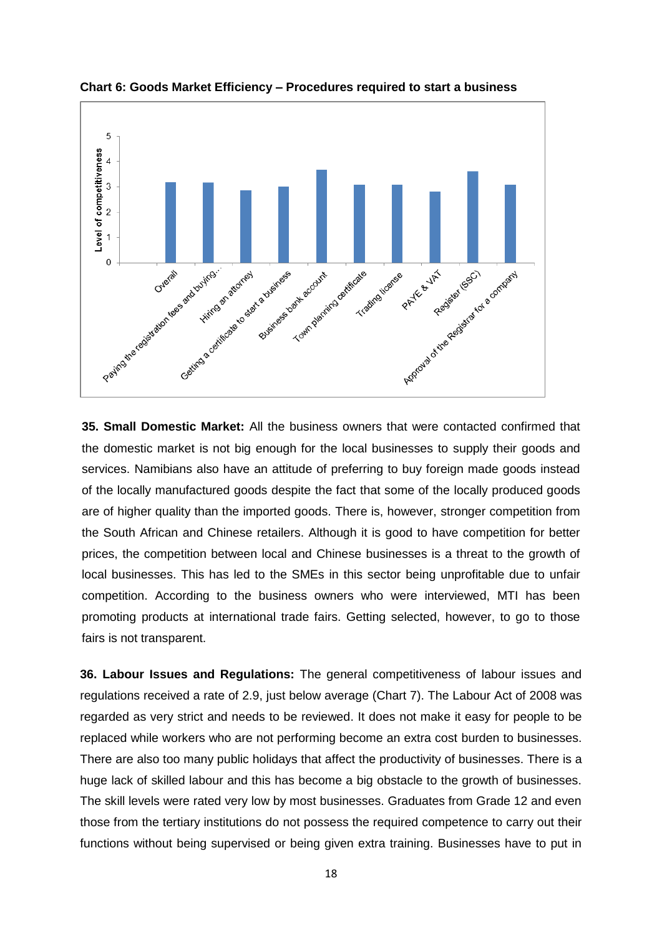

**Chart 6: Goods Market Efficiency – Procedures required to start a business**

**35. Small Domestic Market:** All the business owners that were contacted confirmed that the domestic market is not big enough for the local businesses to supply their goods and services. Namibians also have an attitude of preferring to buy foreign made goods instead of the locally manufactured goods despite the fact that some of the locally produced goods are of higher quality than the imported goods. There is, however, stronger competition from the South African and Chinese retailers. Although it is good to have competition for better prices, the competition between local and Chinese businesses is a threat to the growth of local businesses. This has led to the SMEs in this sector being unprofitable due to unfair competition. According to the business owners who were interviewed, MTI has been promoting products at international trade fairs. Getting selected, however, to go to those fairs is not transparent.

**36. Labour Issues and Regulations:** The general competitiveness of labour issues and regulations received a rate of 2.9, just below average (Chart 7). The Labour Act of 2008 was regarded as very strict and needs to be reviewed. It does not make it easy for people to be replaced while workers who are not performing become an extra cost burden to businesses. There are also too many public holidays that affect the productivity of businesses. There is a huge lack of skilled labour and this has become a big obstacle to the growth of businesses. The skill levels were rated very low by most businesses. Graduates from Grade 12 and even those from the tertiary institutions do not possess the required competence to carry out their functions without being supervised or being given extra training. Businesses have to put in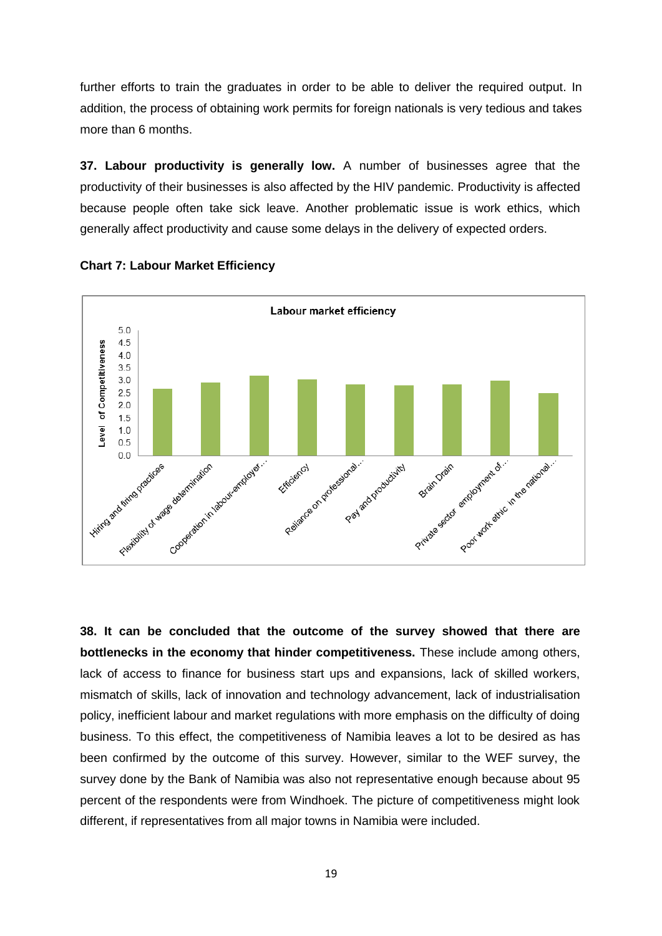further efforts to train the graduates in order to be able to deliver the required output. In addition, the process of obtaining work permits for foreign nationals is very tedious and takes more than 6 months.

**37. Labour productivity is generally low.** A number of businesses agree that the productivity of their businesses is also affected by the HIV pandemic. Productivity is affected because people often take sick leave. Another problematic issue is work ethics, which generally affect productivity and cause some delays in the delivery of expected orders.





**38. It can be concluded that the outcome of the survey showed that there are bottlenecks in the economy that hinder competitiveness.** These include among others, lack of access to finance for business start ups and expansions, lack of skilled workers, mismatch of skills, lack of innovation and technology advancement, lack of industrialisation policy, inefficient labour and market regulations with more emphasis on the difficulty of doing business. To this effect, the competitiveness of Namibia leaves a lot to be desired as has been confirmed by the outcome of this survey. However, similar to the WEF survey, the survey done by the Bank of Namibia was also not representative enough because about 95 percent of the respondents were from Windhoek. The picture of competitiveness might look different, if representatives from all major towns in Namibia were included.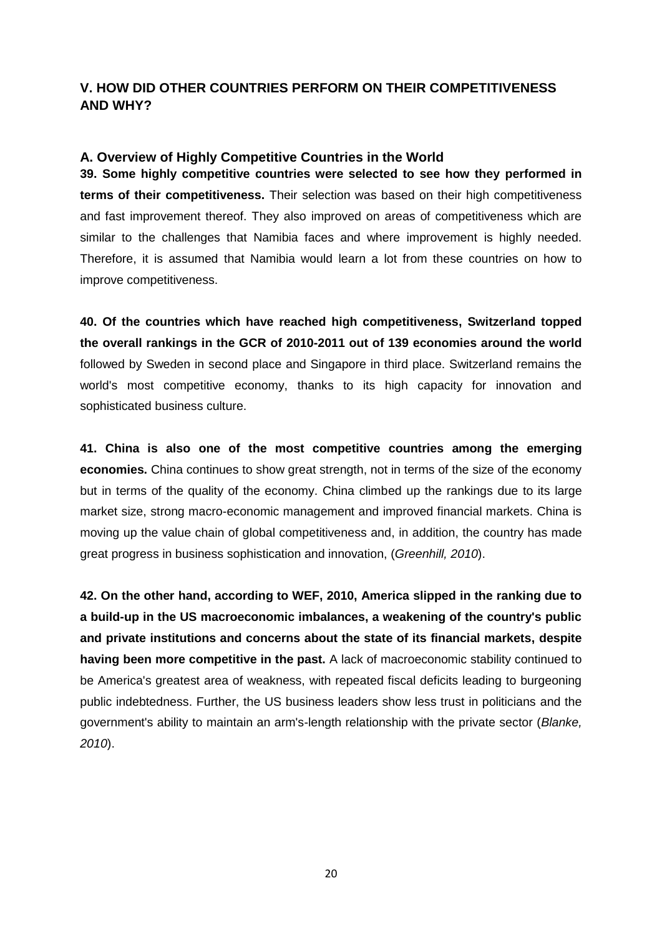## <span id="page-24-0"></span>**V. HOW DID OTHER COUNTRIES PERFORM ON THEIR COMPETITIVENESS AND WHY?**

### <span id="page-24-1"></span>**A. Overview of Highly Competitive Countries in the World**

**39. Some highly competitive countries were selected to see how they performed in terms of their competitiveness.** Their selection was based on their high competitiveness and fast improvement thereof. They also improved on areas of competitiveness which are similar to the challenges that Namibia faces and where improvement is highly needed. Therefore, it is assumed that Namibia would learn a lot from these countries on how to improve competitiveness.

**40. Of the countries which have reached high competitiveness, Switzerland topped the overall rankings in the GCR of 2010-2011 out of 139 economies around the world** followed by Sweden in second place and Singapore in third place. Switzerland remains the world's most competitive economy, thanks to its high capacity for innovation and sophisticated business culture.

**41. China is also one of the most competitive countries among the emerging economies.** China continues to show great strength, not in terms of the size of the economy but in terms of the quality of the economy. China climbed up the rankings due to its large market size, strong macro-economic management and improved financial markets. China is moving up the value chain of global competitiveness and, in addition, the country has made great progress in business sophistication and innovation, (*Greenhill, 2010*).

**42. On the other hand, according to WEF, 2010, America slipped in the ranking due to a build-up in the US macroeconomic imbalances, a weakening of the country's public and private institutions and concerns about the state of its financial markets, despite having been more competitive in the past.** A lack of macroeconomic stability continued to be America's greatest area of weakness, with repeated fiscal deficits leading to burgeoning public indebtedness. Further, the US business leaders show less trust in politicians and the government's ability to maintain an arm's-length relationship with the private sector (*Blanke, 2010*).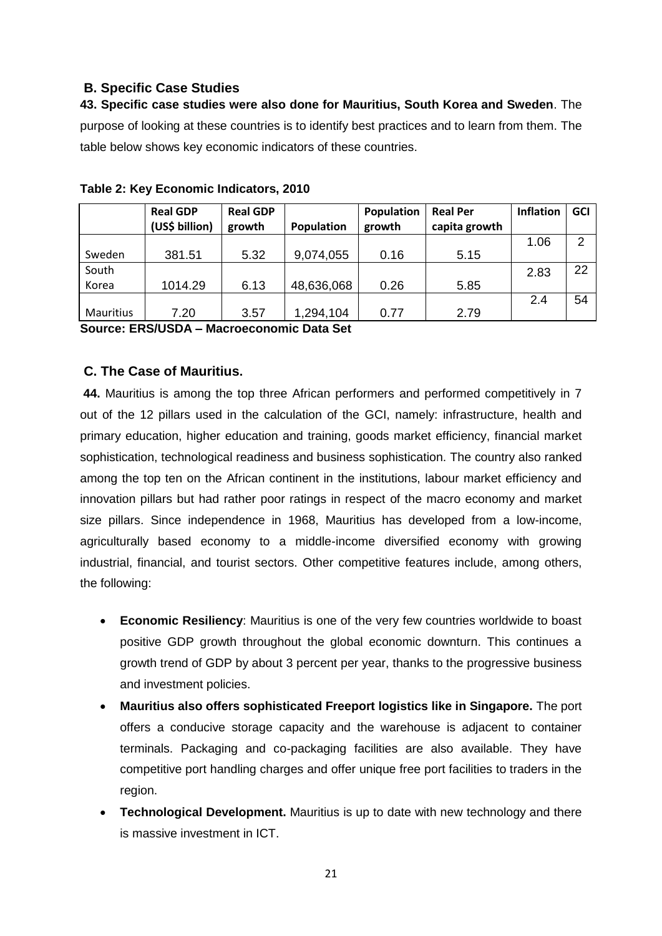## <span id="page-25-0"></span>**B. Specific Case Studies**

**43. Specific case studies were also done for Mauritius, South Korea and Sweden**. The purpose of looking at these countries is to identify best practices and to learn from them. The table below shows key economic indicators of these countries.

|           | <b>Real GDP</b> | <b>Real GDP</b> |            | Population | <b>Real Per</b> | <b>Inflation</b> | <b>GCI</b> |
|-----------|-----------------|-----------------|------------|------------|-----------------|------------------|------------|
|           | (US\$ billion)  | growth          | Population | growth     | capita growth   |                  |            |
|           |                 |                 |            |            |                 | 1.06             | 2          |
| Sweden    | 381.51          | 5.32            | 9,074,055  | 0.16       | 5.15            |                  |            |
| South     |                 |                 |            |            |                 | 2.83             | 22         |
| Korea     | 1014.29         | 6.13            | 48,636,068 | 0.26       | 5.85            |                  |            |
|           |                 |                 |            |            |                 | 2.4              | 54         |
| Mauritius | 7.20            | 3.57            | 1,294,104  | 0.77       | 2.79            |                  |            |

**Table 2: Key Economic Indicators, 2010**

**Source: ERS/USDA – Macroeconomic Data Set**

## <span id="page-25-1"></span>**C. The Case of Mauritius.**

**44.** Mauritius is among the top three African performers and performed competitively in 7 out of the 12 pillars used in the calculation of the GCI, namely: infrastructure, health and primary education, higher education and training, goods market efficiency, financial market sophistication, technological readiness and business sophistication. The country also ranked among the top ten on the African continent in the institutions, labour market efficiency and innovation pillars but had rather poor ratings in respect of the macro economy and market size pillars. Since independence in 1968, Mauritius has developed from a low-income, agriculturally based economy to a middle-income diversified economy with growing industrial, financial, and tourist sectors. Other competitive features include, among others, the following:

- **Economic Resiliency**: Mauritius is one of the very few countries worldwide to boast positive GDP growth throughout the global economic downturn. This continues a growth trend of GDP by about 3 percent per year, thanks to the progressive business and investment policies.
- **Mauritius also offers sophisticated Freeport logistics like in Singapore.** The port offers a conducive storage capacity and the warehouse is adjacent to container terminals. Packaging and co-packaging facilities are also available. They have competitive port handling charges and offer unique free port facilities to traders in the region.
- **Technological Development.** Mauritius is up to date with new technology and there is massive investment in ICT.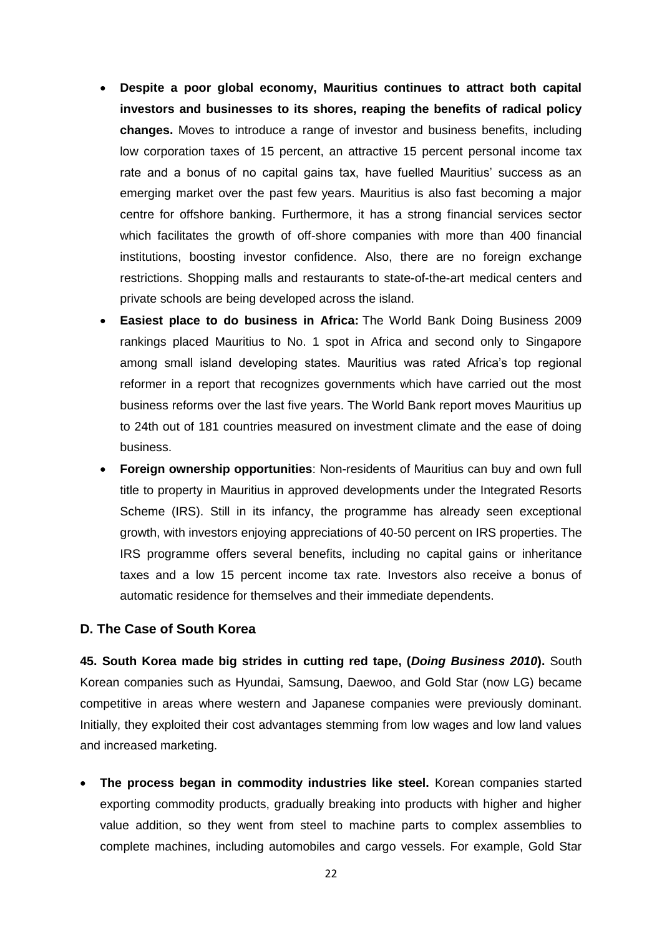- **Despite a poor global economy, Mauritius continues to attract both capital investors and businesses to its shores, reaping the benefits of radical policy changes.** Moves to introduce a range of investor and business benefits, including low corporation taxes of 15 percent, an attractive 15 percent personal income tax rate and a bonus of no capital gains tax, have fuelled Mauritius' success as an emerging market over the past few years. Mauritius is also fast becoming a major centre for offshore banking. Furthermore, it has a strong financial services sector which facilitates the growth of off-shore companies with more than 400 financial institutions, boosting investor confidence. Also, there are no foreign exchange restrictions. Shopping malls and restaurants to state-of-the-art medical centers and private schools are being developed across the island.
- **Easiest place to do business in Africa:** The World Bank Doing Business 2009 rankings placed Mauritius to No. 1 spot in Africa and second only to Singapore among small island developing states. Mauritius was rated Africa's top regional reformer in a report that recognizes governments which have carried out the most business reforms over the last five years. The World Bank report moves Mauritius up to 24th out of 181 countries measured on investment climate and the ease of doing business.
- **Foreign ownership opportunities**: Non-residents of Mauritius can buy and own full title to property in Mauritius in approved developments under the Integrated Resorts Scheme (IRS). Still in its infancy, the programme has already seen exceptional growth, with investors enjoying appreciations of 40-50 percent on IRS properties. The IRS programme offers several benefits, including no capital gains or inheritance taxes and a low 15 percent income tax rate. Investors also receive a bonus of automatic residence for themselves and their immediate dependents.

### <span id="page-26-0"></span>**D. The Case of South Korea**

**45. South Korea made big strides in cutting red tape, (***Doing Business 2010***).** South Korean companies such as Hyundai, Samsung, Daewoo, and Gold Star (now LG) became competitive in areas where western and Japanese companies were previously dominant. Initially, they exploited their cost advantages stemming from low wages and low land values and increased marketing.

 **The process began in commodity industries like steel.** Korean companies started exporting commodity products, gradually breaking into products with higher and higher value addition, so they went from steel to machine parts to complex assemblies to complete machines, including automobiles and cargo vessels. For example, Gold Star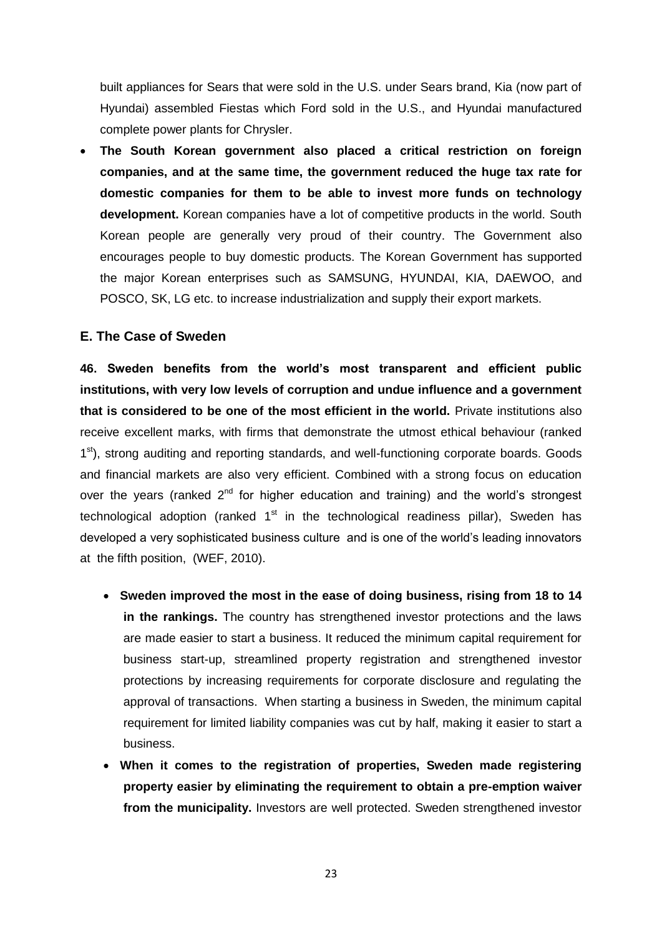built appliances for Sears that were sold in the U.S. under Sears brand, Kia (now part of Hyundai) assembled Fiestas which Ford sold in the U.S., and Hyundai manufactured complete power plants for Chrysler.

 **The South Korean government also placed a critical restriction on foreign companies, and at the same time, the government reduced the huge tax rate for domestic companies for them to be able to invest more funds on technology development.** Korean companies have a lot of competitive products in the world. South Korean people are generally very proud of their country. The Government also encourages people to buy domestic products. The Korean Government has supported the major Korean enterprises such as SAMSUNG, HYUNDAI, KIA, DAEWOO, and POSCO, SK, LG etc. to increase industrialization and supply their export markets.

### <span id="page-27-0"></span>**E. The Case of Sweden**

**46. Sweden benefits from the world's most transparent and efficient public institutions, with very low levels of corruption and undue influence and a government that is considered to be one of the most efficient in the world.** Private institutions also receive excellent marks, with firms that demonstrate the utmost ethical behaviour (ranked 1<sup>st</sup>), strong auditing and reporting standards, and well-functioning corporate boards. Goods and financial markets are also very efficient. Combined with a strong focus on education over the years (ranked  $2<sup>nd</sup>$  for higher education and training) and the world's strongest technological adoption (ranked  $1<sup>st</sup>$  in the technological readiness pillar), Sweden has developed a very sophisticated business culture and is one of the world's leading innovators at the fifth position, (WEF, 2010).

- **Sweden improved the most in the ease of doing business, rising from 18 to 14 in the rankings.** The country has strengthened investor protections and the laws are made easier to start a business. It reduced the minimum capital requirement for business start-up, streamlined property registration and strengthened investor protections by increasing requirements for corporate disclosure and regulating the approval of transactions. When starting a business in Sweden, the minimum capital requirement for limited liability companies was cut by half, making it easier to start a business.
- **When it comes to the registration of properties, Sweden made registering property easier by eliminating the requirement to obtain a pre-emption waiver from the municipality.** Investors are well protected. Sweden strengthened investor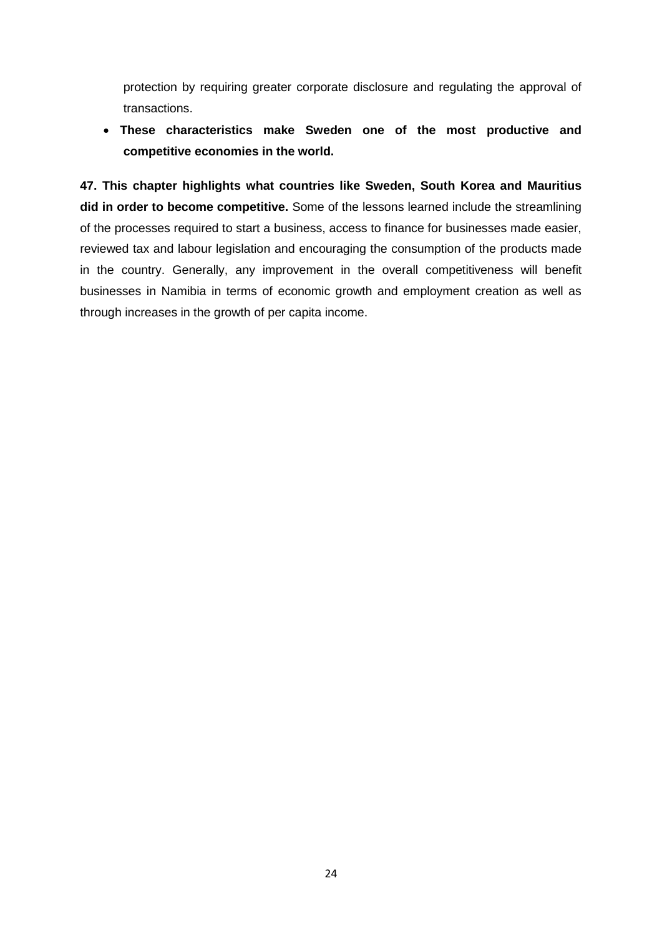protection by requiring greater corporate disclosure and regulating the approval of transactions.

 **These characteristics make Sweden one of the most productive and competitive economies in the world.**

**47. This chapter highlights what countries like Sweden, South Korea and Mauritius did in order to become competitive.** Some of the lessons learned include the streamlining of the processes required to start a business, access to finance for businesses made easier, reviewed tax and labour legislation and encouraging the consumption of the products made in the country. Generally, any improvement in the overall competitiveness will benefit businesses in Namibia in terms of economic growth and employment creation as well as through increases in the growth of per capita income.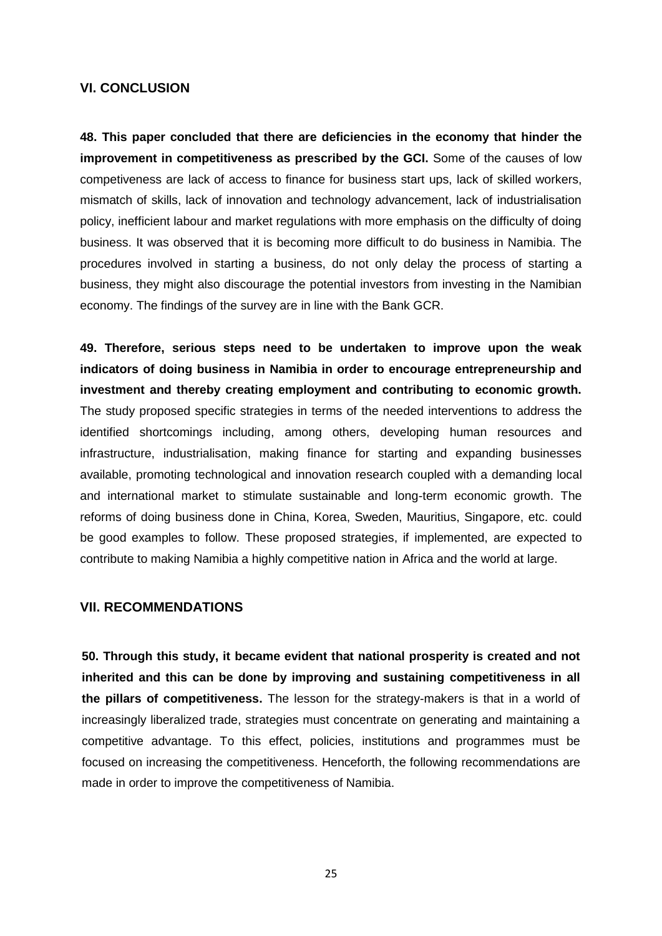#### **VI. CONCLUSION**

**48. This paper concluded that there are deficiencies in the economy that hinder the improvement in competitiveness as prescribed by the GCI.** Some of the causes of low competiveness are lack of access to finance for business start ups, lack of skilled workers, mismatch of skills, lack of innovation and technology advancement, lack of industrialisation policy, inefficient labour and market regulations with more emphasis on the difficulty of doing business. It was observed that it is becoming more difficult to do business in Namibia. The procedures involved in starting a business, do not only delay the process of starting a business, they might also discourage the potential investors from investing in the Namibian economy. The findings of the survey are in line with the Bank GCR.

**49. Therefore, serious steps need to be undertaken to improve upon the weak indicators of doing business in Namibia in order to encourage entrepreneurship and investment and thereby creating employment and contributing to economic growth.**  The study proposed specific strategies in terms of the needed interventions to address the identified shortcomings including, among others, developing human resources and infrastructure, industrialisation, making finance for starting and expanding businesses available, promoting technological and innovation research coupled with a demanding local and international market to stimulate sustainable and long-term economic growth. The reforms of doing business done in China, Korea, Sweden, Mauritius, Singapore, etc. could be good examples to follow. These proposed strategies, if implemented, are expected to contribute to making Namibia a highly competitive nation in Africa and the world at large.

### <span id="page-29-0"></span>**VII. RECOMMENDATIONS**

**50. Through this study, it became evident that national prosperity is created and not inherited and this can be done by improving and sustaining competitiveness in all the pillars of competitiveness.** The lesson for the strategy-makers is that in a world of increasingly liberalized trade, strategies must concentrate on generating and maintaining a competitive advantage. To this effect, policies, institutions and programmes must be focused on increasing the competitiveness. Henceforth, the following recommendations are made in order to improve the competitiveness of Namibia.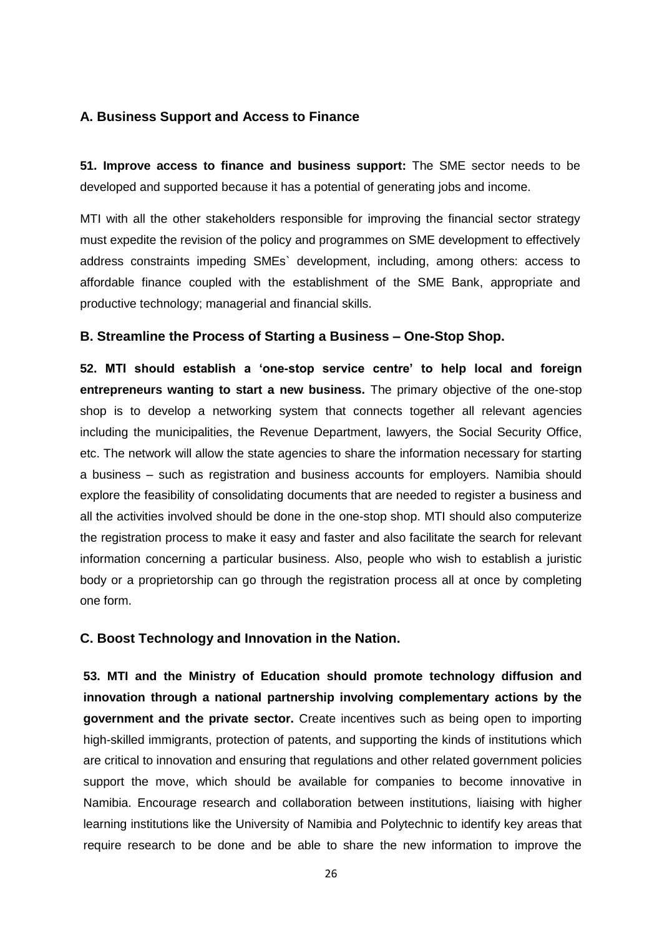### <span id="page-30-0"></span>**A. Business Support and Access to Finance**

**51. Improve access to finance and business support:** The SME sector needs to be developed and supported because it has a potential of generating jobs and income.

MTI with all the other stakeholders responsible for improving the financial sector strategy must expedite the revision of the policy and programmes on SME development to effectively address constraints impeding SMEs` development, including, among others: access to affordable finance coupled with the establishment of the SME Bank, appropriate and productive technology; managerial and financial skills.

### <span id="page-30-1"></span>**B. Streamline the Process of Starting a Business – One-Stop Shop.**

**52. MTI should establish a 'one-stop service centre' to help local and foreign entrepreneurs wanting to start a new business.** The primary objective of the one-stop shop is to develop a networking system that connects together all relevant agencies including the municipalities, the Revenue Department, lawyers, the Social Security Office, etc. The network will allow the state agencies to share the information necessary for starting a business – such as registration and business accounts for employers. Namibia should explore the feasibility of consolidating documents that are needed to register a business and all the activities involved should be done in the one-stop shop. MTI should also computerize the registration process to make it easy and faster and also facilitate the search for relevant information concerning a particular business. Also, people who wish to establish a juristic body or a proprietorship can go through the registration process all at once by completing one form.

### <span id="page-30-2"></span>**C. Boost Technology and Innovation in the Nation.**

**53. MTI and the Ministry of Education should promote technology diffusion and innovation through a national partnership involving complementary actions by the government and the private sector.** Create incentives such as being open to importing high-skilled immigrants, protection of patents, and supporting the kinds of institutions which are critical to innovation and ensuring that regulations and other related government policies support the move, which should be available for companies to become innovative in Namibia. Encourage research and collaboration between institutions, liaising with higher learning institutions like the University of Namibia and Polytechnic to identify key areas that require research to be done and be able to share the new information to improve the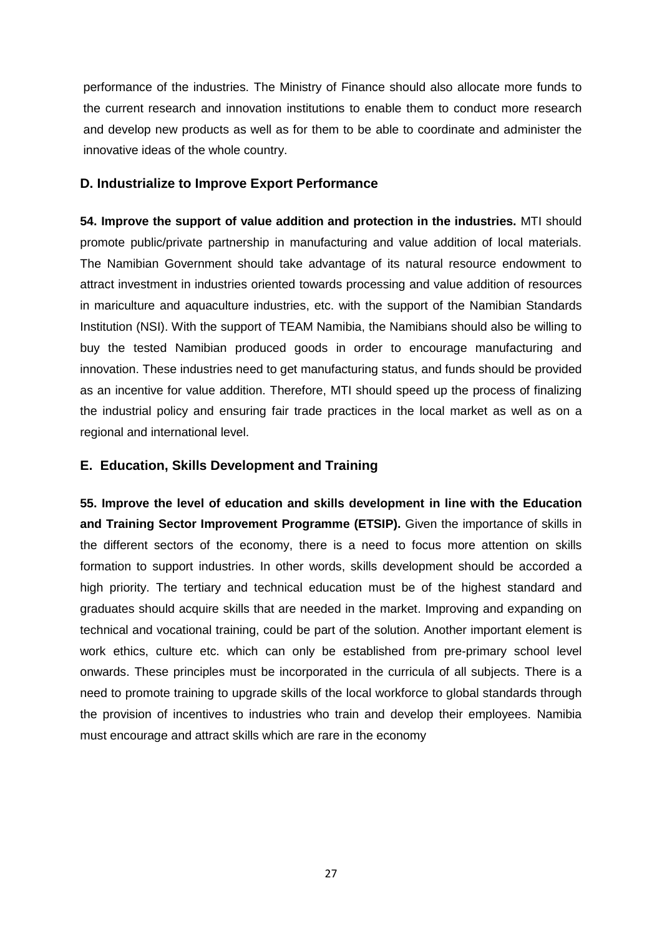performance of the industries. The Ministry of Finance should also allocate more funds to the current research and innovation institutions to enable them to conduct more research and develop new products as well as for them to be able to coordinate and administer the innovative ideas of the whole country.

### <span id="page-31-0"></span>**D. Industrialize to Improve Export Performance**

**54. Improve the support of value addition and protection in the industries.** MTI should promote public/private partnership in manufacturing and value addition of local materials. The Namibian Government should take advantage of its natural resource endowment to attract investment in industries oriented towards processing and value addition of resources in mariculture and aquaculture industries, etc. with the support of the Namibian Standards Institution (NSI). With the support of TEAM Namibia, the Namibians should also be willing to buy the tested Namibian produced goods in order to encourage manufacturing and innovation. These industries need to get manufacturing status, and funds should be provided as an incentive for value addition. Therefore, MTI should speed up the process of finalizing the industrial policy and ensuring fair trade practices in the local market as well as on a regional and international level.

### <span id="page-31-1"></span>**E. Education, Skills Development and Training**

**55. Improve the level of education and skills development in line with the Education and Training Sector Improvement Programme (ETSIP).** Given the importance of skills in the different sectors of the economy, there is a need to focus more attention on skills formation to support industries. In other words, skills development should be accorded a high priority. The tertiary and technical education must be of the highest standard and graduates should acquire skills that are needed in the market. Improving and expanding on technical and vocational training, could be part of the solution. Another important element is work ethics, culture etc. which can only be established from pre-primary school level onwards. These principles must be incorporated in the curricula of all subjects. There is a need to promote training to upgrade skills of the local workforce to global standards through the provision of incentives to industries who train and develop their employees. Namibia must encourage and attract skills which are rare in the economy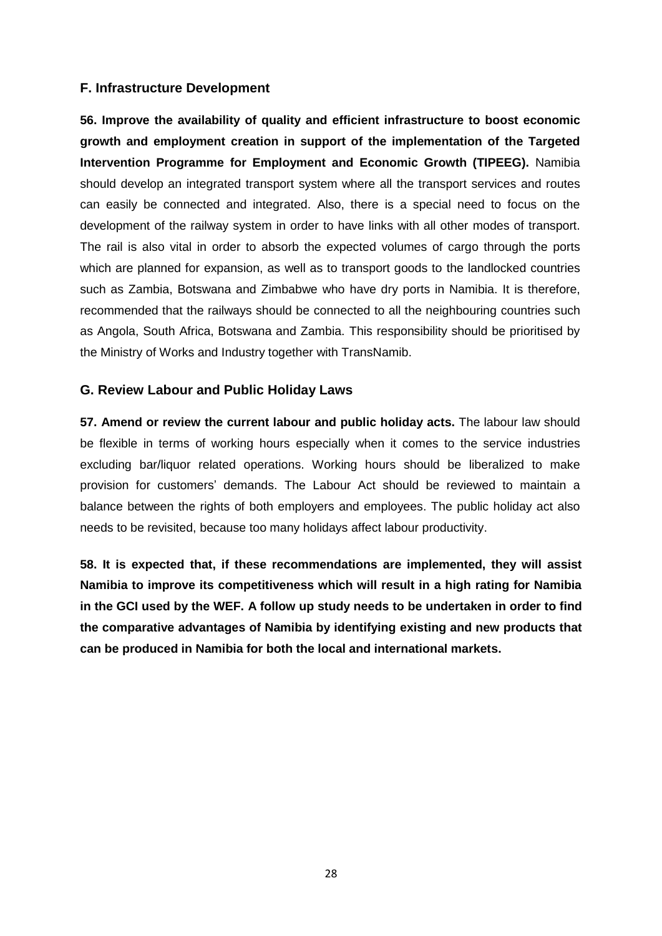### <span id="page-32-0"></span>**F. Infrastructure Development**

**56. Improve the availability of quality and efficient infrastructure to boost economic growth and employment creation in support of the implementation of the Targeted Intervention Programme for Employment and Economic Growth (TIPEEG).** Namibia should develop an integrated transport system where all the transport services and routes can easily be connected and integrated. Also, there is a special need to focus on the development of the railway system in order to have links with all other modes of transport. The rail is also vital in order to absorb the expected volumes of cargo through the ports which are planned for expansion, as well as to transport goods to the landlocked countries such as Zambia, Botswana and Zimbabwe who have dry ports in Namibia. It is therefore, recommended that the railways should be connected to all the neighbouring countries such as Angola, South Africa, Botswana and Zambia. This responsibility should be prioritised by the Ministry of Works and Industry together with TransNamib.

### <span id="page-32-1"></span>**G. Review Labour and Public Holiday Laws**

**57. Amend or review the current labour and public holiday acts.** The labour law should be flexible in terms of working hours especially when it comes to the service industries excluding bar/liquor related operations. Working hours should be liberalized to make provision for customers' demands. The Labour Act should be reviewed to maintain a balance between the rights of both employers and employees. The public holiday act also needs to be revisited, because too many holidays affect labour productivity.

**58. It is expected that, if these recommendations are implemented, they will assist Namibia to improve its competitiveness which will result in a high rating for Namibia in the GCI used by the WEF. A follow up study needs to be undertaken in order to find the comparative advantages of Namibia by identifying existing and new products that can be produced in Namibia for both the local and international markets.**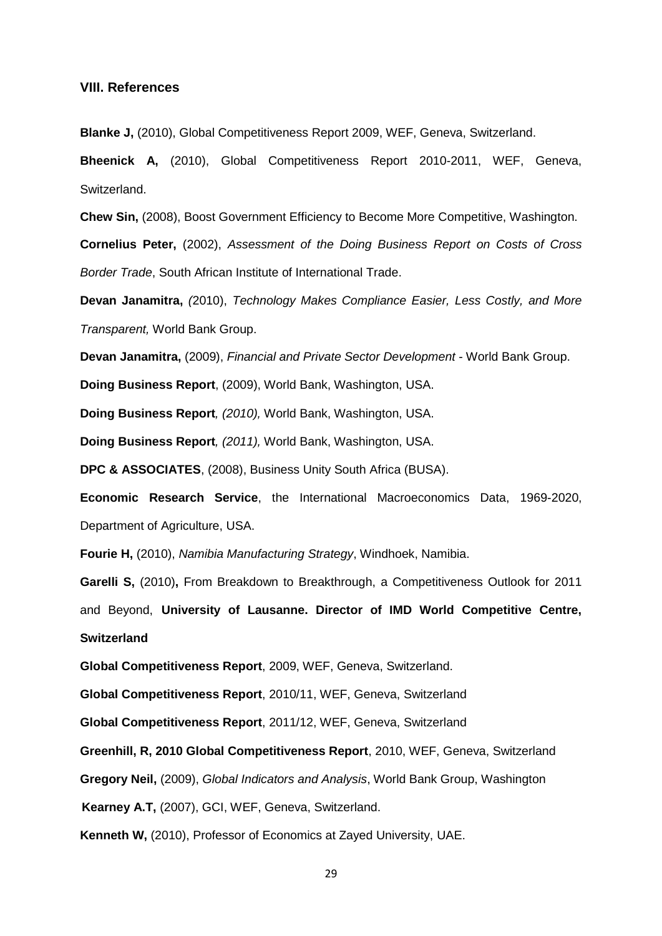#### <span id="page-33-0"></span>**VIII. References**

**Blanke J,** (2010), Global Competitiveness Report 2009, WEF, Geneva, Switzerland.

**Bheenick A,** (2010), Global Competitiveness Report 2010-2011, WEF, Geneva, Switzerland.

**Chew Sin,** (2008), Boost Government Efficiency to Become More Competitive, Washington.

**Cornelius Peter,** (2002), *Assessment of the Doing Business Report on Costs of Cross Border Trade*, South African Institute of International Trade.

**Devan Janamitra,** *(*2010), *Technology Makes Compliance Easier, Less Costly, and More Transparent,* World Bank Group.

**Devan Janamitra,** (2009), *Financial and Private Sector Development* - World Bank Group.

**Doing Business Report**, (2009), World Bank, Washington, USA.

**Doing Business Report***, (2010),* World Bank, Washington, USA.

**Doing Business Report***, (2011),* World Bank, Washington, USA.

**DPC & ASSOCIATES**, (2008), Business Unity South Africa (BUSA).

**Economic Research Service**, the International Macroeconomics Data, 1969-2020, Department of Agriculture, USA.

**Fourie H,** (2010), *Namibia Manufacturing Strategy*, Windhoek, Namibia.

**Garelli S,** (2010)**,** From Breakdown to Breakthrough, a Competitiveness Outlook for 2011 and Beyond, **University of Lausanne. Director of IMD World Competitive Centre, Switzerland**

**Global Competitiveness Report**, 2009, WEF, Geneva, Switzerland.

**Global Competitiveness Report**, 2010/11, WEF, Geneva, Switzerland

**Global Competitiveness Report**, 2011/12, WEF, Geneva, Switzerland

**Greenhill, R, 2010 Global Competitiveness Report**, 2010, WEF, Geneva, Switzerland

**Gregory Neil,** (2009), *Global Indicators and Analysis*, World Bank Group, Washington

**Kearney A.T,** (2007), GCI, WEF, Geneva, Switzerland.

**Kenneth W,** (2010), Professor of Economics at Zayed University, UAE.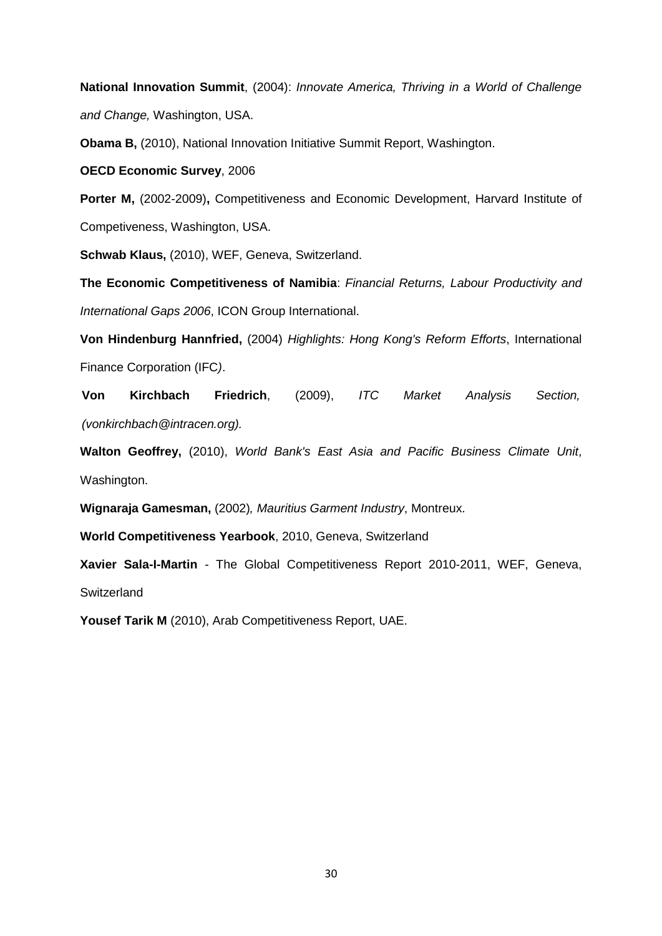**National Innovation Summit**, (2004): *Innovate America, Thriving in a World of Challenge and Change,* Washington, USA.

**Obama B,** (2010), National Innovation Initiative Summit Report, Washington.

**OECD Economic Survey**, 2006

**Porter M,** (2002-2009)**,** Competitiveness and Economic Development, Harvard Institute of Competiveness, Washington, USA.

**Schwab Klaus,** (2010), WEF, Geneva, Switzerland.

**The Economic Competitiveness of Namibia**: *Financial Returns, Labour Productivity and International Gaps 2006*, ICON Group International.

**Von Hindenburg Hannfried,** (2004) *Highlights: Hong Kong's Reform Efforts*, International Finance Corporation (IFC*)*.

**Von Kirchbach Friedrich**, (2009), *ITC Market Analysis Section, (vonkirchbach@intracen.org).*

**Walton Geoffrey,** (2010), *World Bank's East Asia and Pacific Business Climate Unit*, Washington.

**Wignaraja Gamesman,** (2002)*, Mauritius Garment Industry*, Montreux.

**World Competitiveness Yearbook**, 2010, Geneva, Switzerland

**Xavier Sala-I-Martin** - The Global Competitiveness Report 2010-2011, WEF, Geneva, **Switzerland** 

**Yousef Tarik M** (2010), Arab Competitiveness Report, UAE.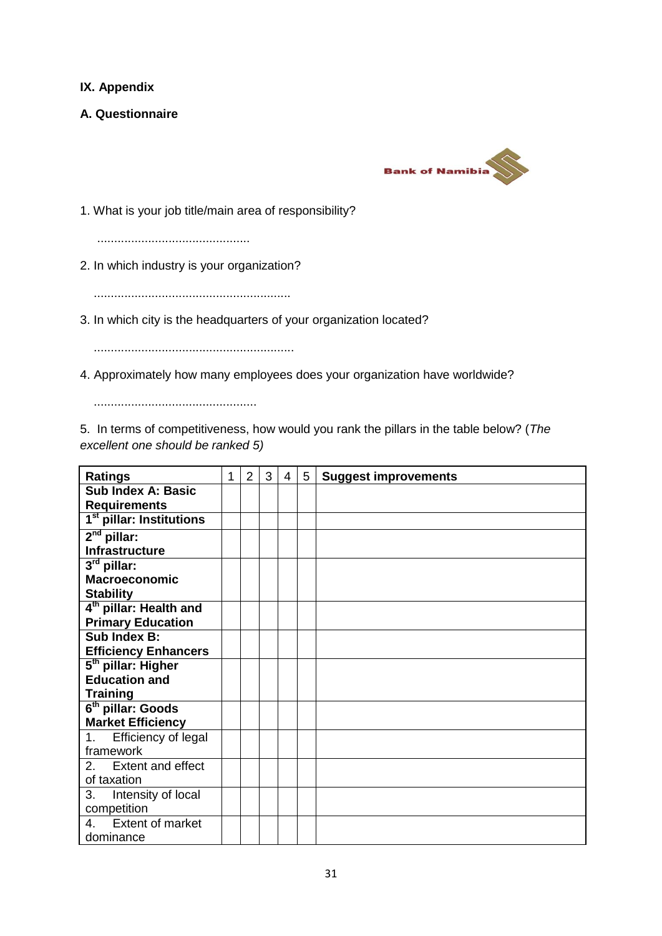## <span id="page-35-0"></span>**IX. Appendix**

<span id="page-35-1"></span>**A. Questionnaire**



1. What is your job title/main area of responsibility?

.............................................

2. In which industry is your organization?

..........................................................

3. In which city is the headquarters of your organization located?

...........................................................

4. Approximately how many employees does your organization have worldwide?

................................................

5. In terms of competitiveness, how would you rank the pillars in the table below? (*The excellent one should be ranked 5)*

| <b>Ratings</b>                       | 1 | $\overline{2}$ | 3 | $\overline{4}$ | 5 | <b>Suggest improvements</b> |
|--------------------------------------|---|----------------|---|----------------|---|-----------------------------|
| <b>Sub Index A: Basic</b>            |   |                |   |                |   |                             |
| <b>Requirements</b>                  |   |                |   |                |   |                             |
| 1 <sup>st</sup> pillar: Institutions |   |                |   |                |   |                             |
| $2nd$ pillar:                        |   |                |   |                |   |                             |
| <b>Infrastructure</b>                |   |                |   |                |   |                             |
| $3rd$ pillar:                        |   |                |   |                |   |                             |
| <b>Macroeconomic</b>                 |   |                |   |                |   |                             |
| <b>Stability</b>                     |   |                |   |                |   |                             |
| 4 <sup>th</sup> pillar: Health and   |   |                |   |                |   |                             |
| <b>Primary Education</b>             |   |                |   |                |   |                             |
| Sub Index B:                         |   |                |   |                |   |                             |
| <b>Efficiency Enhancers</b>          |   |                |   |                |   |                             |
| 5 <sup>th</sup> pillar: Higher       |   |                |   |                |   |                             |
| <b>Education and</b>                 |   |                |   |                |   |                             |
| <b>Training</b>                      |   |                |   |                |   |                             |
| 6 <sup>th</sup> pillar: Goods        |   |                |   |                |   |                             |
| <b>Market Efficiency</b>             |   |                |   |                |   |                             |
| 1. Efficiency of legal               |   |                |   |                |   |                             |
| framework                            |   |                |   |                |   |                             |
| 2. Extent and effect                 |   |                |   |                |   |                             |
| of taxation                          |   |                |   |                |   |                             |
| 3.<br>Intensity of local             |   |                |   |                |   |                             |
| competition                          |   |                |   |                |   |                             |
| 4. Extent of market                  |   |                |   |                |   |                             |
| dominance                            |   |                |   |                |   |                             |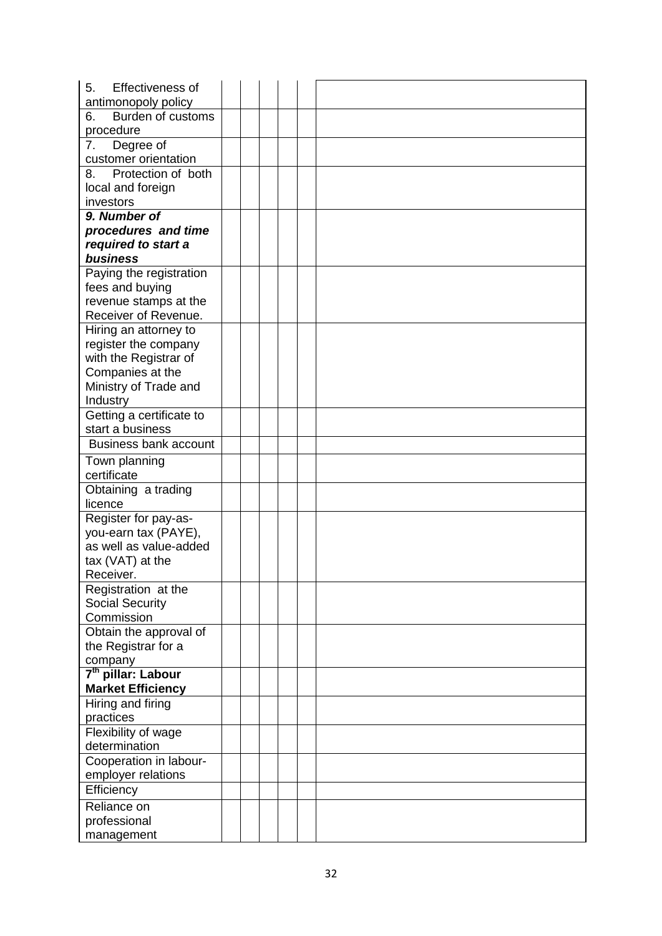| 5.<br>Effectiveness of         |  |  |  |
|--------------------------------|--|--|--|
| antimonopoly policy            |  |  |  |
| Burden of customs<br>6.        |  |  |  |
| procedure                      |  |  |  |
| Degree of<br>7.                |  |  |  |
| customer orientation           |  |  |  |
| Protection of both<br>8.       |  |  |  |
| local and foreign              |  |  |  |
| investors                      |  |  |  |
| 9. Number of                   |  |  |  |
| procedures and time            |  |  |  |
| required to start a            |  |  |  |
| business                       |  |  |  |
| Paying the registration        |  |  |  |
| fees and buying                |  |  |  |
| revenue stamps at the          |  |  |  |
| Receiver of Revenue.           |  |  |  |
| Hiring an attorney to          |  |  |  |
| register the company           |  |  |  |
| with the Registrar of          |  |  |  |
| Companies at the               |  |  |  |
| Ministry of Trade and          |  |  |  |
| Industry                       |  |  |  |
| Getting a certificate to       |  |  |  |
| start a business               |  |  |  |
| <b>Business bank account</b>   |  |  |  |
| Town planning                  |  |  |  |
| certificate                    |  |  |  |
| Obtaining a trading            |  |  |  |
| licence                        |  |  |  |
| Register for pay-as-           |  |  |  |
| you-earn tax (PAYE),           |  |  |  |
| as well as value-added         |  |  |  |
| tax $(VAT)$ at the             |  |  |  |
| Receiver.                      |  |  |  |
| Registration at the            |  |  |  |
| <b>Social Security</b>         |  |  |  |
| Commission                     |  |  |  |
| Obtain the approval of         |  |  |  |
| the Registrar for a            |  |  |  |
| company                        |  |  |  |
| 7 <sup>th</sup> pillar: Labour |  |  |  |
| <b>Market Efficiency</b>       |  |  |  |
| Hiring and firing              |  |  |  |
| practices                      |  |  |  |
| Flexibility of wage            |  |  |  |
| determination                  |  |  |  |
| Cooperation in labour-         |  |  |  |
| employer relations             |  |  |  |
| Efficiency                     |  |  |  |
| Reliance on                    |  |  |  |
| professional                   |  |  |  |
| management                     |  |  |  |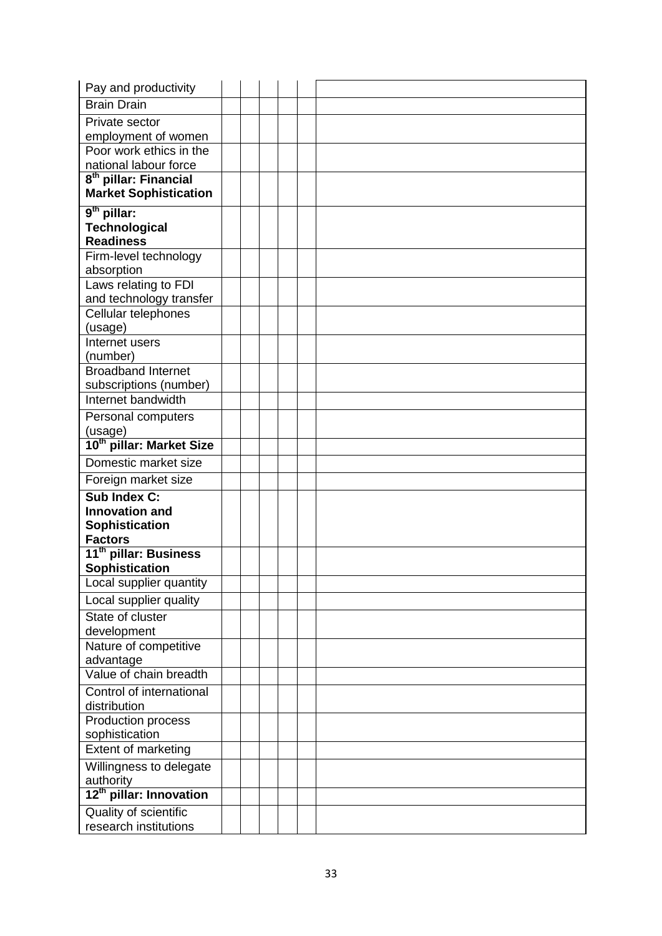| Pay and productivity                                |  |  |  |
|-----------------------------------------------------|--|--|--|
| <b>Brain Drain</b>                                  |  |  |  |
| Private sector                                      |  |  |  |
| employment of women                                 |  |  |  |
| Poor work ethics in the                             |  |  |  |
| national labour force                               |  |  |  |
| 8 <sup>th</sup> pillar: Financial                   |  |  |  |
| <b>Market Sophistication</b>                        |  |  |  |
| 9 <sup>th</sup> pillar:                             |  |  |  |
| <b>Technological</b>                                |  |  |  |
| <b>Readiness</b>                                    |  |  |  |
| Firm-level technology                               |  |  |  |
| absorption<br>Laws relating to FDI                  |  |  |  |
| and technology transfer                             |  |  |  |
| Cellular telephones                                 |  |  |  |
| (usage)                                             |  |  |  |
| Internet users                                      |  |  |  |
| (number)                                            |  |  |  |
| <b>Broadband Internet</b>                           |  |  |  |
| subscriptions (number)                              |  |  |  |
| Internet bandwidth                                  |  |  |  |
| Personal computers                                  |  |  |  |
| (usage)                                             |  |  |  |
| 10th pillar: Market Size                            |  |  |  |
| Domestic market size                                |  |  |  |
| Foreign market size                                 |  |  |  |
| Sub Index C:                                        |  |  |  |
| <b>Innovation and</b>                               |  |  |  |
| Sophistication                                      |  |  |  |
| <b>Factors</b><br>11 <sup>th</sup> pillar: Business |  |  |  |
| <b>Sophistication</b>                               |  |  |  |
| Local supplier quantity                             |  |  |  |
| Local supplier quality                              |  |  |  |
| State of cluster                                    |  |  |  |
| development                                         |  |  |  |
| Nature of competitive                               |  |  |  |
| advantage                                           |  |  |  |
| Value of chain breadth                              |  |  |  |
| Control of international                            |  |  |  |
| distribution                                        |  |  |  |
| Production process                                  |  |  |  |
| sophistication                                      |  |  |  |
| Extent of marketing                                 |  |  |  |
| Willingness to delegate                             |  |  |  |
| authority                                           |  |  |  |
| 12 <sup>th</sup> pillar: Innovation                 |  |  |  |
| Quality of scientific                               |  |  |  |
| research institutions                               |  |  |  |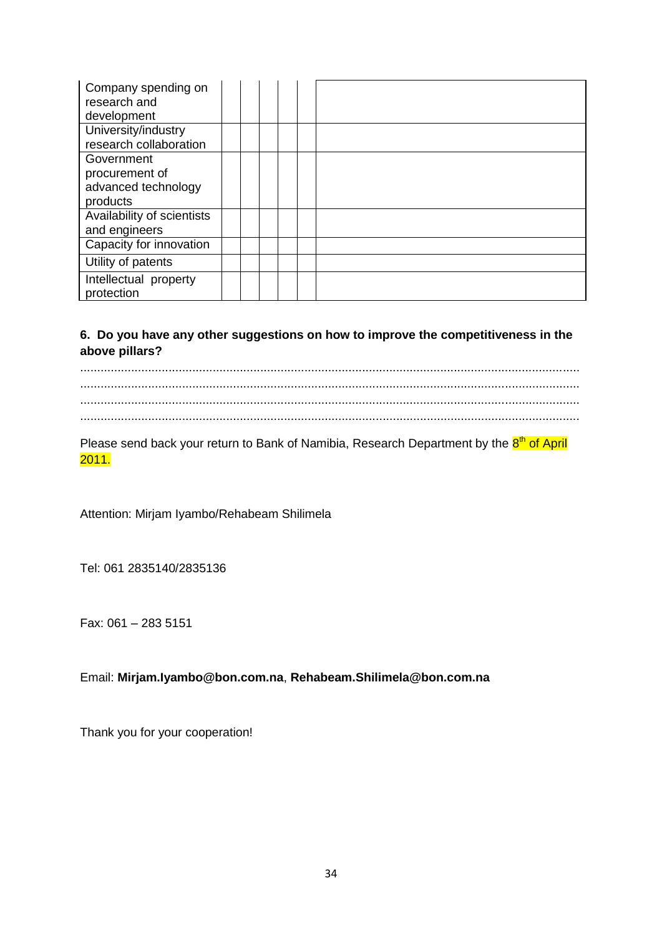| Company spending on<br>research and<br>development              |  |  |  |
|-----------------------------------------------------------------|--|--|--|
| University/industry<br>research collaboration                   |  |  |  |
| Government<br>procurement of<br>advanced technology<br>products |  |  |  |
| Availability of scientists<br>and engineers                     |  |  |  |
| Capacity for innovation<br>Utility of patents                   |  |  |  |
| Intellectual property<br>protection                             |  |  |  |

## **6. Do you have any other suggestions on how to improve the competitiveness in the above pillars?**

Please send back your return to Bank of Namibia, Research Department by the 8<sup>th</sup> of April 2011.

Attention: Mirjam Iyambo/Rehabeam Shilimela

Tel: 061 2835140/2835136

Fax: 061 – 283 5151

## Email: **Mirjam.Iyambo@bon.com.na**, **Rehabeam.Shilimela@bon.com.na**

Thank you for your cooperation!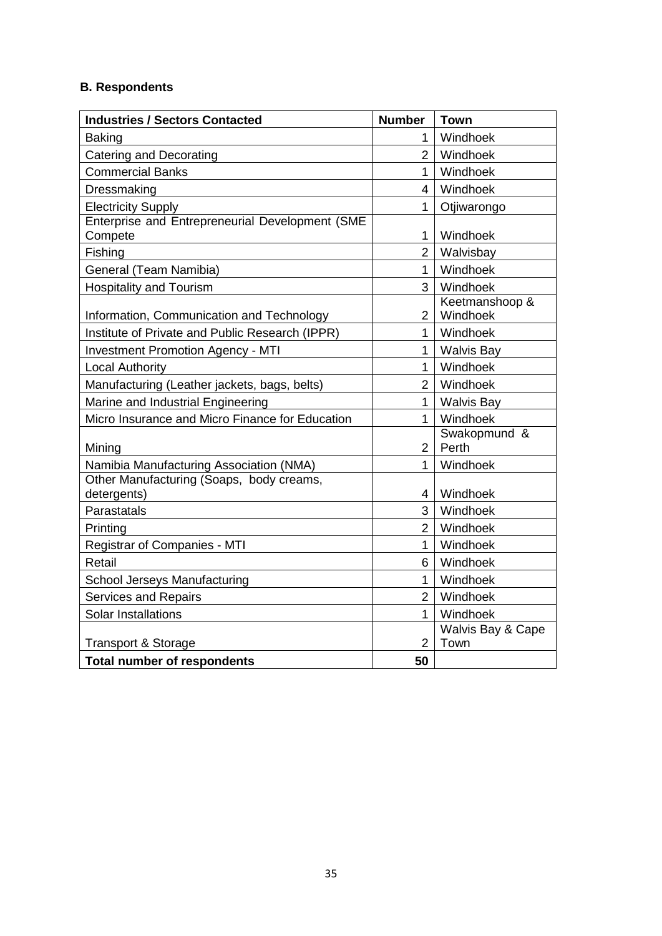# <span id="page-39-0"></span>**B. Respondents**

| <b>Industries / Sectors Contacted</b>                   | <b>Number</b>  | <b>Town</b>       |
|---------------------------------------------------------|----------------|-------------------|
| <b>Baking</b>                                           | 1              | Windhoek          |
| Catering and Decorating                                 | $\overline{2}$ | Windhoek          |
| <b>Commercial Banks</b>                                 | 1              | Windhoek          |
| Dressmaking                                             | 4              | Windhoek          |
| <b>Electricity Supply</b>                               | 1              | Otjiwarongo       |
| Enterprise and Entrepreneurial Development (SME         |                |                   |
| Compete                                                 | $\mathbf{1}$   | Windhoek          |
| Fishing                                                 | $\overline{2}$ | Walvisbay         |
| General (Team Namibia)                                  | 1              | Windhoek          |
| <b>Hospitality and Tourism</b>                          | 3              | Windhoek          |
|                                                         |                | Keetmanshoop &    |
| Information, Communication and Technology               | 2              | Windhoek          |
| Institute of Private and Public Research (IPPR)         | $\mathbf{1}$   | Windhoek          |
| <b>Investment Promotion Agency - MTI</b>                | $\mathbf{1}$   | <b>Walvis Bay</b> |
| <b>Local Authority</b>                                  | $\mathbf{1}$   | Windhoek          |
| Manufacturing (Leather jackets, bags, belts)            | $\overline{2}$ | Windhoek          |
| Marine and Industrial Engineering                       | $\mathbf{1}$   | <b>Walvis Bay</b> |
| Micro Insurance and Micro Finance for Education         | $\mathbf{1}$   | Windhoek          |
|                                                         |                | Swakopmund &      |
| Mining                                                  | $\overline{2}$ | Perth             |
| Namibia Manufacturing Association (NMA)                 | $\mathbf{1}$   | Windhoek          |
| Other Manufacturing (Soaps, body creams,<br>detergents) | $\overline{4}$ | Windhoek          |
| Parastatals                                             | 3              | Windhoek          |
|                                                         | $\overline{2}$ |                   |
| Printing                                                |                | Windhoek          |
| Registrar of Companies - MTI                            | $\mathbf{1}$   | Windhoek          |
| Retail                                                  | 6              | Windhoek          |
| <b>School Jerseys Manufacturing</b>                     | $\mathbf{1}$   | Windhoek          |
| <b>Services and Repairs</b>                             | $\overline{2}$ | Windhoek          |
| Solar Installations                                     | 1              | Windhoek          |
|                                                         |                | Walvis Bay & Cape |
| <b>Transport &amp; Storage</b>                          | 2              | Town              |
| <b>Total number of respondents</b>                      | 50             |                   |